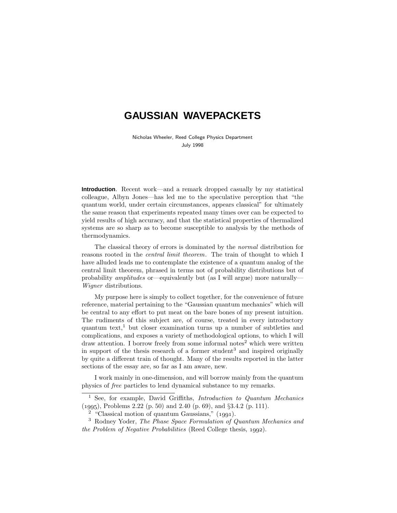# **GAUSSIAN WAVEPACKETS**

Nicholas Wheeler, Reed College Physics Department July 1998

**Introduction**. Recent work—and a remark dropped casually by my statistical colleague, Albyn Jones—has led me to the speculative perception that "the quantum world, under certain circumstances, appears classical" for ultimately the same reason that experiments repeated many times over can be expected to yield results of high accuracy, and that the statistical properties of thermalized systems are so sharp as to become susceptible to analysis by the methods of thermodynamics.

The classical theory of errors is dominated by the *normal* distribution for reasons rooted in the *central limit theorem*. The train of thought to which I have alluded leads me to contemplate the existence of a quantum analog of the central limit theorem, phrased in terms not of probability distributions but of probability amplitudes or—equivalently but (as I will argue) more naturally— Wigner distributions.

My purpose here is simply to collect together, for the convenience of future reference, material pertaining to the "Gaussian quantum mechanics" which will be central to any effort to put meat on the bare bones of my present intuition. The rudiments of this subject are, of course, treated in every introductory quantum text,<sup>1</sup> but closer examination turns up a number of subtleties and complications, and exposes a variety of methodological options, to which I will  $d$ raw attention. I borrow freely from some informal notes<sup>2</sup> which were written in support of the thesis research of a former student<sup>3</sup> and inspired originally by quite a different train of thought. Many of the results reported in the latter sections of the essay are, so far as I am aware, new.

I work mainly in one-dimension, and will borrow mainly from the quantum physics of free particles to lend dynamical substance to my remarks.

<sup>&</sup>lt;sup>1</sup> See, for example, David Griffiths, *Introduction to Quantum Mechanics* (), Problems 2.22 (p. 50) and 2.40 (p. 69), and §3.4.2 (p. 111).

 $2$  "Classical motion of quantum Gaussians," (1991).

<sup>&</sup>lt;sup>3</sup> Rodney Yoder, *The Phase Space Formulation of Quantum Mechanics and* the Problem of Negative Probabilities (Reed College thesis,  $1992$ ).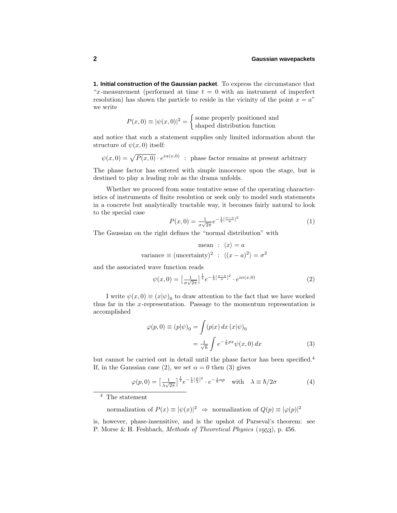**1. Initial construction of the Gaussian packet**. To express the circumstance that "*x*-measurement (performed at time  $t = 0$  with an instrument of imperfect resolution) has shown the particle to reside in the vicinity of the point  $x = a$ " we write

$$
P(x,0) \equiv |\psi(x,0)|^2 = \begin{cases} \text{some properly positioned and} \\ \text{shaped distribution function} \end{cases}
$$

and notice that such a statement supplies only limited information about the structure of  $\psi(x,0)$  itself:

 $\psi(x,0) = \sqrt{P(x,0)} \cdot e^{i\alpha(x,0)}$ : phase factor remains at present arbitrary

The phase factor has entered with simple innocence upon the stage, but is destined to play a leading role as the drama unfolds.

Whether we proceed from some tentative sense of the operating characteristics of instruments of finite resolution or seek only to model such statements in a concrete but analytically tractable way, it becomes fairly natural to look to the special case

$$
P(x,0) = \frac{1}{\sigma\sqrt{2\pi}}e^{-\frac{1}{2}[\frac{x-a}{\sigma}]^{2}}
$$
 (1)

The Gaussian on the right defines the "normal distribution" with

$$
\text{mean} : \langle x \rangle = a
$$
\n
$$
\text{variance} \equiv (\text{uncertainty})^2 : \langle (x - a)^2 \rangle = \sigma^2
$$

and the associated wave function reads

$$
\psi(x,0) = \left[\frac{1}{\sigma\sqrt{2\pi}}\right]^{\frac{1}{2}} e^{-\frac{1}{4}\left[\frac{x-a}{\sigma}\right]^2} \cdot e^{i\alpha(x,0)}\tag{2}
$$

I write  $\psi(x,0) \equiv (x|\psi)_0$  to draw attention to the fact that we have worked thus far in the *x*-representation. Passage to the momentum representation is accomplished

$$
\varphi(p,0) \equiv (p|\psi)_0 = \int (p|x) dx (x|\psi)_0
$$

$$
= \frac{1}{\sqrt{h}} \int e^{-\frac{i}{\hbar}px} \psi(x,0) dx \tag{3}
$$

but cannot be carried out in detail until the phase factor has been specified.<sup>4</sup> If, in the Gaussian case (2), we set  $\alpha = 0$  then (3) gives

$$
\varphi(p,0) = \left[\frac{1}{\lambda\sqrt{2\pi}}\right]^{\frac{1}{2}} e^{-\frac{1}{4}\left[\frac{p}{\lambda}\right]^2} \cdot e^{-\frac{i}{\hbar}ap} \quad \text{with} \quad \lambda \equiv \hbar/2\sigma \tag{4}
$$

 $^4\,$  The statement

normalization of  $P(x) \equiv |\psi(x)|^2 \Rightarrow$  normalization of  $Q(p) \equiv |\varphi(p)|^2$ 

is, however, phase-insensitive, and is the upshot of Parseval's theorem: see P. Morse & H. Feshbach, *Methods of Theoretical Physics* (1953), p. 456.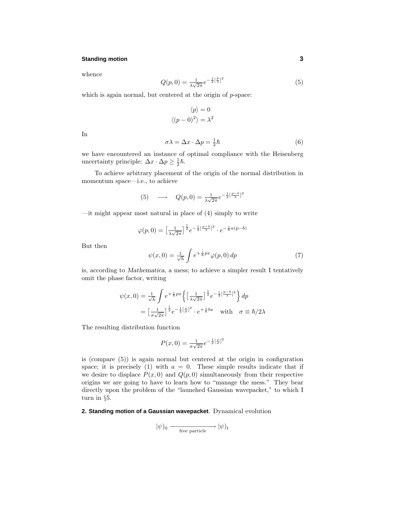## **Standing motion 3**

whence

$$
Q(p,0) = \frac{1}{\lambda\sqrt{2\pi}}e^{-\frac{1}{2}[\frac{p}{\lambda}]^2}
$$
\n(5)

which is again normal, but centered at the origin of *p*-space:

$$
\langle p \rangle = 0
$$

$$
\langle (p-0)^2 \rangle = \lambda^2
$$

In

$$
\sigma \lambda = \Delta x \cdot \Delta p = \frac{1}{2}\hbar \tag{6}
$$

we have encountered an instance of optimal compliance with the Heisenberg uncertainty principle:  $\Delta x \cdot \Delta p \geq \frac{1}{2}\hbar$ .

To achieve arbitrary placement of the origin of the normal distribution in momentum space—i.e., to achieve

(5) 
$$
\longrightarrow Q(p,0) = \frac{1}{\lambda\sqrt{2\pi}}e^{-\frac{1}{2}[\frac{p-b}{\lambda}]^2}
$$

 $\equiv$  it might appear most natural in place of (4) simply to write

$$
\varphi(p,0) = \left[\frac{1}{\lambda\sqrt{2\pi}}\right]^{\frac{1}{2}} e^{-\frac{1}{4}\left[\frac{p-b}{\lambda}\right]^2} \cdot e^{-\frac{i}{\hbar}a(p-b)}
$$

$$
\psi(x,0) = \frac{1}{\sqrt{\hbar}} \int e^{+\frac{i}{\hbar}px} \varphi(p,0) \, dp \tag{7}
$$

But then

is, according to *Mathematica*, a mess; to achieve a simpler result I tentatively omit the phase factor, writing

$$
\psi(x,0) = \frac{1}{\sqrt{h}} \int e^{+\frac{i}{\hbar}px} \left\{ \left[ \frac{1}{\lambda\sqrt{2\pi}} \right]^{\frac{1}{2}} e^{-\frac{1}{4} \left[\frac{p-b}{\lambda}\right]^2} \right\} dp
$$

$$
= \left[ \frac{1}{\sigma\sqrt{2\pi}} \right]^{\frac{1}{2}} e^{-\frac{1}{4} \left[\frac{x}{\sigma}\right]^2} \cdot e^{+\frac{i}{\hbar}bx} \quad \text{with} \quad \sigma \equiv \hbar/2\lambda
$$

The resulting distribution function

$$
P(x,0)=\tfrac{1}{\sigma\sqrt{2\pi}}e^{-\frac{1}{2}[\frac{x}{\sigma}]^2}
$$

is (compare (5)) is again normal but centered at the origin in configuration space; it is precisely (1) with  $a = 0$ . These simple results indicate that if we desire to displace  $P(x, 0)$  and  $Q(p, 0)$  simultaneously from their respective origins we are going to have to learn how to "manage the mess." They bear directly upon the problem of the "launched Gaussian wavepacket," to which I turn in §5.

#### **2. Standing motion of a Gaussian wavepacket**. Dynamical evolution

$$
|\psi)_0 \xrightarrow{\phantom{aaa}\textrm{free particle}} |\psi)_t
$$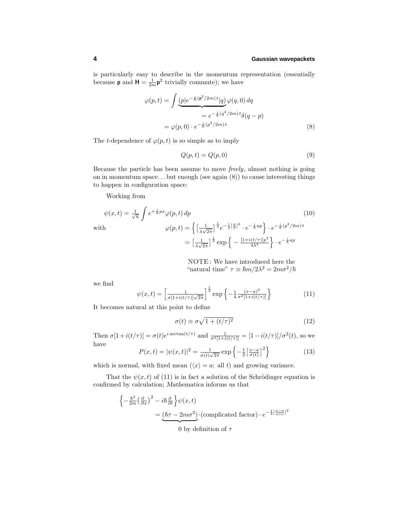is particularly easy to describe in the momentum representation (essentially because **p** and  $H = \frac{1}{2m} p^2$  trivially commute); we have

$$
\varphi(p,t) = \int \underbrace{(p|e^{-\frac{i}{\hbar}(\mathbf{p}^2/2m)t} | q)}_{=: e^{-\frac{i}{\hbar}(q^2/2m)t} \delta(q-p)}
$$

$$
= \varphi(p,0) \cdot e^{-\frac{i}{\hbar}(p^2/2m)t}
$$
(8)

The *t*-dependence of  $\varphi(p, t)$  is so simple as to imply

$$
Q(p,t) = Q(p,0) \tag{9}
$$

Because the particle has been assume to move freely, almost nothing is going on in momentum space*...* but enough (see again (8)) to cause interesting things to happen in configuration space:

Working from

$$
\psi(x,t) = \frac{1}{\sqrt{h}} \int e^{+\frac{i}{h}px} \varphi(p,t) dp
$$
\n
$$
\psi(p,t) = \left\{ \left[ \frac{1}{\lambda\sqrt{2\pi}} \right]^{\frac{1}{2}} e^{-\frac{1}{4}[\frac{p}{\lambda}]^{2}} \cdot e^{-\frac{i}{h}ap} \right\} \cdot e^{-\frac{i}{h}(p^{2}/2m)t}
$$
\n
$$
= \left[ \frac{1}{\lambda\sqrt{2\pi}} \right]^{\frac{1}{2}} \exp\left\{ -\frac{\left[1+i(t/\tau)\right]p^{2}}{4\lambda^{2}} \right\} \cdot e^{-\frac{i}{h}ap}
$$
\n(10)

NOTE : We have introduced here the "natural time"  $\tau \equiv \hbar m/2\lambda^2 = 2m\sigma^2/\hbar$ 

we find

$$
\psi(x,t) = \left[\frac{1}{\sigma[1+i(t/\tau)]\sqrt{2\pi}}\right]^{\frac{1}{2}} \exp\left\{-\frac{1}{4}\frac{(x-a)^2}{\sigma^2[1+i(t/\tau)]}\right\} \tag{11}
$$

It becomes natural at this point to define

$$
\sigma(t) \equiv \sigma \sqrt{1 + (t/\tau)^2} \tag{12}
$$

Then  $\sigma[1+i(t/\tau)] = \sigma(t)e^{i\arctan(t/\tau)}$  and  $\frac{1}{\sigma^2[1+i(t/\tau)]} = [1-i(t/\tau)]/\sigma^2(t)$ , so we have

$$
P(x,t) = |\psi(x,t)|^2 = \frac{1}{\sigma(t)\sqrt{2\pi}} \exp\left\{-\frac{1}{2}\left[\frac{x-a}{\sigma(t)}\right]^2\right\} \tag{13}
$$

which is normal, with fixed mean  $(\langle x \rangle = a:$  all *t*) and growing variance.

That the  $\psi(x, t)$  of (11) is in fact a solution of the Schrödinger equation is confirmed by calculation; *Mathematica* informs us that

$$
\begin{aligned} \left\{-\frac{\hbar^2}{2m}\left(\frac{\partial}{\partial x}\right)^2 - i\hbar\frac{\partial}{\partial t}\right\}\psi(x,t) \\ &= \underbrace{(\hbar\tau - 2m\sigma^2)}_{0 \text{ by definition of } \tau} \cdot e^{-\frac{1}{4}\left[\frac{x-a}{\sigma(t)}\right]^2} \end{aligned}
$$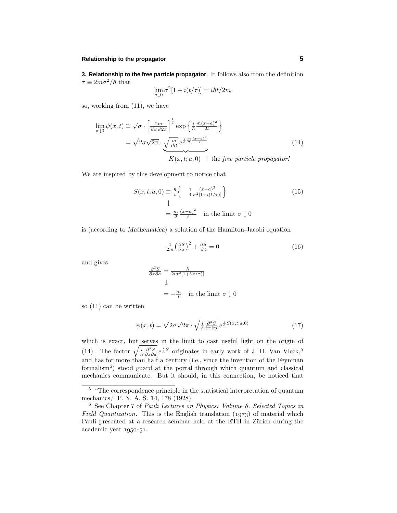## **Relationship to the propagator 5**

**3. Relationship to the free particle propagator**. It follows also from the definition  $\tau \equiv 2m\sigma^2/\hbar$  that

$$
\lim_{\sigma \downarrow 0} \sigma^2 [1 + i(t/\tau)] = i\hbar t/2m
$$

so, working from (11), we have

$$
\lim_{\sigma \downarrow 0} \psi(x,t) \cong \sqrt{\sigma} \cdot \left[ \frac{2m}{i\hbar t \sqrt{2\pi}} \right]^{\frac{1}{2}} \exp\left\{ \frac{i}{\hbar} \frac{m(x-a)^2}{2t} \right\}
$$
\n
$$
= \sqrt{2\sigma \sqrt{2\pi}} \cdot \underbrace{\sqrt{\frac{m}{i\hbar t} e^{\frac{i}{\hbar} \frac{m}{2} \frac{(x-a)^2}{t}}}}_{K(x,t;a,0) \quad \text{the free particle propagator!}
$$
\n
$$
(14)
$$

We are inspired by this development to notice that

$$
S(x, t; a, 0) \equiv \frac{\hbar}{i} \left\{ -\frac{1}{4} \frac{(x-a)^2}{\sigma^2 [1+i(t/\tau)]} \right\}
$$
(15)  

$$
\downarrow
$$
  

$$
= \frac{m}{2} \frac{(x-a)^2}{t} \quad \text{in the limit } \sigma \downarrow 0
$$

is (according to *Mathematica*) a solution of the Hamilton-Jacobi equation

$$
\frac{1}{2m} \left(\frac{\partial S}{\partial x}\right)^2 + \frac{\partial S}{\partial t} = 0 \tag{16}
$$

and gives

$$
\frac{\partial^2 S}{\partial x \partial a} = \frac{\hbar}{2i\sigma^2[1+i(t/\tau)]}
$$
  

$$
\downarrow
$$
  

$$
= -\frac{m}{t} \quad \text{in the limit } \sigma \downarrow 0
$$

so (11) can be written

$$
\psi(x,t) = \sqrt{2\sigma\sqrt{2\pi}} \cdot \sqrt{\frac{i}{h} \frac{\partial^2 S}{\partial x \partial a}} e^{\frac{i}{h}S(x,t;a,0)} \tag{17}
$$

which is exact, but serves in the limit to cast useful light on the origin of (14). The factor  $\sqrt{\frac{i}{h} \frac{\partial^2 S}{\partial x \partial a}} e^{\frac{i}{h}S}$  originates in early work of J. H. Van Vleck,<sup>5</sup> and has for more than half a century (i.e., since the invention of the Feynman formalism $^6$ ) stood guard at the portal through which quantum and classical mechanics communicate. But it should, in this connection, be noticed that

 $\frac{5}{5}$  "The correspondence principle in the statistical interpretation of quantum mechanics," P. N. A. S. **14**, 178 (1928).

<sup>6</sup> See Chapter 7 of Pauli Lectures on Physics: Volume 6. Selected Topics in Field Quantization. This is the English translation  $(1973)$  of material which Pauli presented at a research seminar held at the ETH in Zürich during the  $academic$  year  $1950-51$ .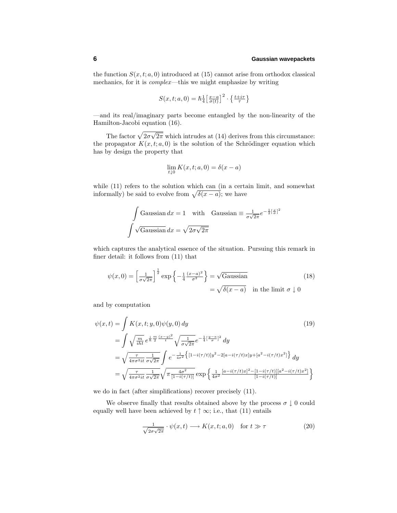the function  $S(x, t; a, 0)$  introduced at (15) cannot arise from orthodox classical mechanics, for it is complex—this we might emphasize by writing

$$
S(x, t; a, 0) = \hbar \frac{1}{4} \left[ \frac{x - a}{\sigma(t)} \right]^2 \cdot \left\{ \frac{t + i\tau}{\tau} \right\}
$$

—and its real/imaginary parts become entangled by the non-linearity of the Hamilton-Jacobi equation (16).

The factor  $\sqrt{2\sigma\sqrt{2\pi}}$  which intrudes at (14) derives from this circumstance: the propagator  $K(x, t; a, 0)$  is the solution of the Schrödinger equation which has by design the property that

$$
\lim_{t\downarrow 0} K(x,t;a,0)=\delta(x-a)
$$

while (11) refers to the solution which can (in a certain limit, and somewhat informally) be said to evolve from  $\sqrt{\delta(x-a)}$ ; we have

$$
\int \text{Gaussian} \, dx = 1 \quad \text{with} \quad \text{Gaussian} \equiv \frac{1}{\sigma \sqrt{2\pi}} e^{-\frac{1}{2} \left[\frac{x}{\sigma}\right]^2}
$$
\n
$$
\int \sqrt{\text{Gaussian}} \, dx = \sqrt{2\sigma \sqrt{2\pi}}
$$

which captures the analytical essence of the situation. Pursuing this remark in finer detail: it follows from (11) that

$$
\psi(x,0) = \left[\frac{1}{\sigma\sqrt{2\pi}}\right]^{\frac{1}{2}} \exp\left\{-\frac{1}{4}\frac{(x-a)^2}{\sigma^2}\right\} = \sqrt{\text{Gaussian}}
$$
\n
$$
= \sqrt{\delta(x-a)} \quad \text{in the limit } \sigma \downarrow 0
$$
\n(18)

and by computation

$$
\psi(x,t) = \int K(x,t;y,0)\psi(y,0) dy
$$
\n
$$
= \int \sqrt{\frac{m}{iht}} e^{\frac{i}{\hbar} \frac{m}{2} \frac{(x-y)^2}{t}} \sqrt{\frac{1}{\sigma\sqrt{2\pi}}} e^{-\frac{1}{4} [\frac{y-a}{\sigma}]^2} dy
$$
\n
$$
= \sqrt{\frac{\tau}{4\pi\sigma^2 it} \frac{1}{\sigma\sqrt{2\pi}}} \int e^{-\frac{1}{4\sigma^2} {\left[1 - i(\tau/t)\right] y^2 - 2[a - i(\tau/t)x]y + [a^2 - i(\tau/t)x^2] \right]} dy
$$
\n
$$
= \sqrt{\frac{\tau}{4\pi\sigma^2 it} \frac{1}{\sigma\sqrt{2\pi}}} \sqrt{\pi \frac{4\sigma^2}{[1 - i(\tau/t)]}} \exp \left\{ \frac{1}{4\sigma^2} \frac{[a - i(\tau/t)x]^2 - [1 - i(\tau/t)][a^2 - i(\tau/t)x^2]}{[1 - i(\tau/t)]} \right\}
$$
\n(19)

we do in fact (after simplifications) recover precisely (11).

We observe finally that results obtained above by the process  $\sigma \downarrow 0$  could equally well have been achieved by  $t \uparrow \infty$ ; i.e., that (11) entails

$$
\frac{1}{\sqrt{2\sigma\sqrt{2\pi}}} \cdot \psi(x,t) \longrightarrow K(x,t;a,0) \quad \text{for } t \gg \tau \tag{20}
$$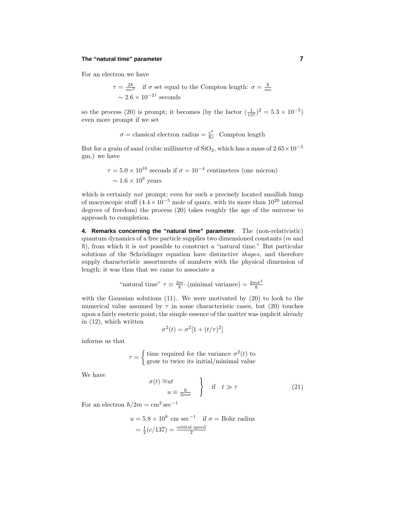## **The "natural time" parameter 7**

For an electron we have

$$
\tau = \frac{2\hbar}{mc^2}
$$
 if  $\sigma$  set equal to the Compton length:  $\sigma = \frac{\hbar}{mc}$   
 $\sim 2.6 \times 10^{-21}$  seconds

so the process (20) is prompt; it becomes (by the factor  $(\frac{1}{137})^2 = 5.3 \times 10^{-5}$ ) even more prompt if we set

$$
\sigma =
$$
classical electron radius  $= \frac{e^2}{\hbar c} \cdot$  Compton length

But for a grain of sand (cubic millimeter of  $SiO<sub>2</sub>$ , which has a mass of  $2.65 \times 10^{-3}$ gm.) we have

$$
\tau = 5.0 \times 10^{16}
$$
 seconds if  $\sigma = 10^{-4}$  centimeters (one micron)  
  $\sim 1.6 \times 10^9$  years

which is certainly *not* prompt; even for such a precisely located smallish lump of macroscopic stuff  $(4.4 \times 10^{-5}$  mole of quarz, with its more than  $10^{20}$  internal degrees of freedom) the process  $(20)$  takes roughly the age of the universe to approach to completion.

**4. Remarks concerning the "natural time" parameter**. The (non-relativistic) quantum dynamics of a free particle supplies two dimensioned constants (*m* and  $\hbar$ ), from which it is *not* possible to construct a "natural time." But particular solutions of the Schrödinger equation have distinctive *shapes*, and therefore supply characteristic assortments of numbers with the physical dimension of length; it was thus that we came to associate a

"natural time"  $\tau \equiv \frac{2m}{\hbar} \cdot \text{(minimal variance)} = \frac{2m\sigma^2}{\hbar}$ 

with the Gaussian solutions (11). We were motivated by (20) to look to the numerical value assumed by  $\tau$  in some characteristic cases, but (20) touches upon a fairly esoteric point; the simple essence of the matter was implicit already in (12), which written

$$
\sigma^2(t) = \sigma^2[1 + (t/\tau)^2]
$$

informs us that

$$
\tau = \begin{cases} \text{time required for the variance } \sigma^2(t) \text{ to} \\ \text{grow to twice its initial/minimal value} \end{cases}
$$

We have

$$
\sigma(t) \cong ut
$$
  
\n
$$
u \equiv \frac{\hbar}{2m\sigma}
$$
 if  $t \gg \tau$  (21)

For an electron  $\hbar/2m = \text{cm}^2 \text{ sec}^{-1}$ 

$$
u = 5.8 \times 10^8
$$
 cm sec<sup>-1</sup> if  $\sigma$  = Bohr radius  
=  $\frac{1}{2}$ (c/137) =  $\frac{\text{orbital speed}}{2}$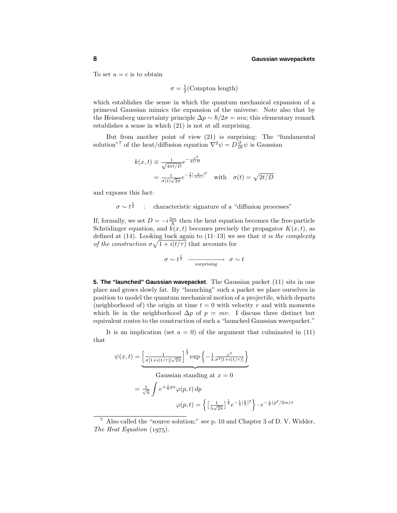To set  $u = c$  is to obtain

$$
\sigma = \frac{1}{2}(\text{Compton length})
$$

which establishes the sense in which the quantum mechanical expansion of a primeval Gaussian mimics the expansion of the universe. Note also that by the Heisenberg uncertainty principle  $\Delta p \sim \hbar/2\sigma = mu$ ; this elementary remark establishes a sense in which (21) is not at all surprising.

But from another point of view (21) is surprising: The "fundamental solution<sup>"7</sup> of the heat/diffusion equation  $\nabla^2 \psi = D \frac{\partial}{\partial t} \psi$  is Gaussian

$$
k(x,t) \equiv \frac{1}{\sqrt{4\pi t/D}} e^{-\frac{x^2}{4t/D}}
$$
  
= 
$$
\frac{1}{\sigma(t)\sqrt{2\pi}} e^{-\frac{1}{2}[\frac{x}{\sigma(t)}]^2}
$$
 with  $\sigma(t) = \sqrt{2t/D}$ 

and exposes this fact:

 $\sigma \sim t^{\frac{1}{2}}$  : characteristic signature of a "diffusion processes"

If, formally, we set  $D = -i\frac{2m}{\hbar}$  then the heat equation becomes the free-particle Schrödinger equation, and  $k(x, t)$  becomes precisely the propagator  $K(x, t)$ , as defined at  $(14)$ . Looking back again to  $(11-13)$  we see that it is the complexity of the construction  $\sigma \sqrt{1 + i(t/\tau)}$  that accounts for

$$
\sigma \sim t^{\frac{1}{2}} \xrightarrow{\text{surprising}} \sigma \sim t
$$

**5. The "launched" Gaussian wavepacket**. The Gaussian packet (11) sits in one place and grows slowly fat. By "launching" such a packet we place ourselves in position to model the quantum mechanical motion ofa projectile, which departs (neighborhood of) the origin at time  $t = 0$  with velocity  $v$  and with momenta which lie in the neighborhood  $\Delta p$  of  $p = mv$ . I discuss three distinct but equivalent routes to the construction of such a "launched Gaussian wavepacket."

It is an implication (set  $a = 0$ ) of the argument that culminated in (11) that

$$
\psi(x,t) = \underbrace{\left[\frac{1}{\sigma[1+i(t/\tau)]\sqrt{2\pi}}\right]^{\frac{1}{2}} \exp\left\{-\frac{1}{4}\frac{x^2}{\sigma^2[1+i(t/\tau)]}\right\}}_{\text{Gaussian standing at } x = 0}
$$
\n
$$
= \frac{1}{\sqrt{h}} \int e^{+\frac{i}{h}px} \varphi(p,t) \, dp
$$
\n
$$
\varphi(p,t) = \left\{\left[\frac{1}{\sqrt{2\pi}}\right]^{\frac{1}{2}} e^{-\frac{1}{4}\left[\frac{p}{\lambda}\right]^2}\right\} \cdot e^{-\frac{i}{h}(p^2/2m)t}
$$

<sup>&</sup>lt;sup>7</sup> Also called the "source solution;" see p. 10 and Chapter 3 of D. V. Widder, The Heat Equation  $(1975)$ .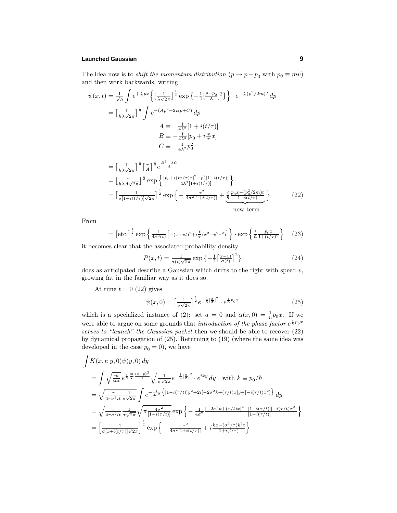## **Launched Gaussian 9**

The idea now is to *shift the momentum distribution*  $(p \rightarrow p - p_0 \text{ with } p_0 \equiv mv)$ and then work backwards, writing

$$
\psi(x,t) = \frac{1}{\sqrt{h}} \int e^{+\frac{i}{h}px} \left\{ \left[ \frac{1}{\lambda\sqrt{2\pi}} \right]^{\frac{1}{2}} \exp \left\{ -\frac{1}{4} \left[ \frac{p-p_0}{\lambda} \right]^2 \right\} \right\} \cdot e^{-\frac{i}{h}(p^2/2m)t} dp
$$

$$
= \left[ \frac{1}{h\lambda\sqrt{2\pi}} \right]^{\frac{1}{2}} \int e^{-(Ap^2 + 2Bp + C)} dp
$$

$$
A \equiv \frac{1}{4\lambda^2} [1 + i(t/\tau)]
$$

$$
B \equiv -\frac{1}{4\lambda^2} [p_0 + i\frac{m}{\tau}x]
$$

$$
C \equiv \frac{1}{4\lambda^2} p_0^2
$$

$$
= \left[\frac{1}{h\lambda\sqrt{2\pi}}\right]^{\frac{1}{2}} \left[\frac{\pi}{A}\right]^{\frac{1}{2}} e^{\frac{B^2 - AC}{A}}
$$
\n
$$
= \left[\frac{\pi}{h\lambda A\sqrt{2\pi}}\right]^{\frac{1}{2}} \exp\left\{\frac{[p_0 + i(m/\tau)x]^2 - p_0^2[1 + i(t/\tau)]}{4\lambda^2[1 + i(t/\tau)]}\right\}
$$
\n
$$
= \left[\frac{1}{\sigma[1 + i(t/\tau)]\sqrt{2\pi}}\right]^{\frac{1}{2}} \exp\left\{-\frac{x^2}{4\sigma^2[1 + i(t/\tau)]} + \frac{i}{\hbar} \frac{p_0 x - (p_0^2/2m)t}{1 + i(t/\tau)}\right\}
$$
\n(22)

From

$$
= \left[ \text{etc.} \right]^{\frac{1}{2}} \exp \left\{ \frac{1}{4\sigma^2(t)} \left[ -(x - vt)^2 + i\frac{t}{\tau} (x^2 - v^2 \tau^2) \right] \right\} \cdot \exp \left\{ \frac{i}{\hbar} \frac{p_0 x}{1 + (t/\tau)^2} \right\} \tag{23}
$$

it becomes clear that the associated probability density

$$
P(x,t) = \frac{1}{\sigma(t)\sqrt{2\pi}} \exp\left\{-\frac{1}{2}\left[\frac{x-vt}{\sigma(t)}\right]^2\right\} \tag{24}
$$

does as anticipated describe a Gaussian which drifts to the right with speed *v*, growing fat in the familiar way as it does so.

At time  $t = 0$  (22) gives

$$
\psi(x,0) = \left[\frac{1}{\sigma\sqrt{2\pi}}\right]^{\frac{1}{2}} e^{-\frac{1}{4}\left[\frac{x}{\sigma}\right]^2} \cdot e^{\frac{i}{\hbar}p_0x} \tag{25}
$$

which is a specialized instance of (2): set  $a = 0$  and  $\alpha(x, 0) = \frac{1}{\hbar} p_0 x$ . If we were able to argue on some grounds that *introduction of the phase factor*  $e^{\frac{i}{\hbar}p_0x}$ serves to "launch" the Gaussian packet then we should be able to recover  $(22)$ by dynamical propagation of  $(25)$ . Returning to  $(19)$  (where the same idea was developed in the case  $p_0 = 0$ , we have

$$
\int K(x, t; y, 0)\psi(y, 0) dy
$$
\n
$$
= \int \sqrt{\frac{m}{i\hbar}} e^{\frac{i}{\hbar}\frac{m}{2}\frac{(x-y)^2}{t}} \sqrt{\frac{1}{\sigma\sqrt{2\pi}}} e^{-\frac{1}{4}[\frac{y}{\sigma}]^2} \cdot e^{iky} dy \quad \text{with } k \equiv p_0/\hbar
$$
\n
$$
= \sqrt{\frac{\tau}{4\pi\sigma^2 it}} \frac{1}{\sigma\sqrt{2\pi}} \int e^{-\frac{1}{4\sigma^2} \left\{ [1 - i(\tau/t)]y^2 + 2i[-2\sigma^2k + (\tau/t)x]y + [-i(\tau/t)x^2] \right\}} dy
$$
\n
$$
= \sqrt{\frac{\tau}{4\pi\sigma^2 it}} \frac{1}{\sigma\sqrt{2\pi}} \sqrt{\pi \frac{4\sigma^2}{[1 - i(\tau/t)]}} \exp\left\{-\frac{1}{4\sigma^2} \frac{[-2\sigma^2k + (\tau/t)x]^2 + [1 - i(\tau/t)][-i(\tau/t)x^2]}{[1 - i(\tau/t)]}\right\}
$$
\n
$$
= \left[\frac{1}{\sigma[1 + i(t/\tau)]\sqrt{2\pi}}\right]^{\frac{1}{2}} \exp\left\{-\frac{x^2}{4\sigma^2[1 + i(t/\tau)]} + i\frac{kx - (\sigma^2/\tau)k^2t}{1 + i(t/\tau)}\right\}
$$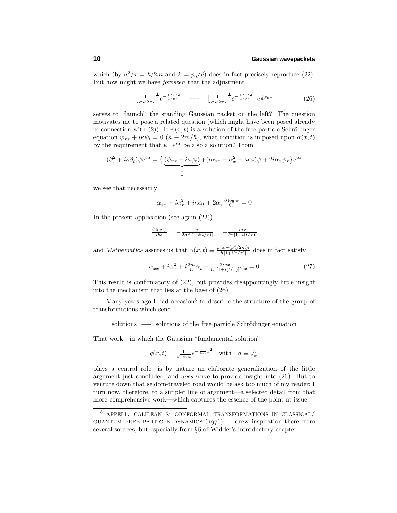which (by  $\sigma^2/\tau = \hbar/2m$  and  $k = p_0/\hbar$ ) does in fact precisely reproduce (22). But how might we have foreseen that the adjustment

$$
\left[\frac{1}{\sigma\sqrt{2\pi}}\right]^{\frac{1}{2}}e^{-\frac{1}{4}\left[\frac{x}{\sigma}\right]^2} \longrightarrow \left[\frac{1}{\sigma\sqrt{2\pi}}\right]^{\frac{1}{2}}e^{-\frac{1}{4}\left[\frac{x}{\sigma}\right]^2} \cdot e^{\frac{i}{\hbar}p_0x} \tag{26}
$$

serves to "launch" the standing Gaussian packet on the left? The question motivates me to pose a related question (which might have been posed already in connection with (2)): If  $\psi(x, t)$  is a solution of the free particle Schrödinger equation  $\psi_{xx} + i\kappa\psi_t = 0$  ( $\kappa \equiv 2m/\hbar$ ), what condition is imposed upon  $\alpha(x, t)$ by the requirement that  $\psi \cdot e^{i\alpha}$  be also a solution? From

$$
(\partial_x^2 + i\kappa \partial_t)\psi e^{i\alpha} = \left\{ \underbrace{(\psi_{xx} + i\kappa \psi_t)}_{0} + (i\alpha_{xx} - \alpha_x^2 - \kappa \alpha_t)\psi + 2i\alpha_x \psi_x \right\} e^{i\alpha}
$$

we see that necessarily

$$
\alpha_{xx} + i\alpha_x^2 + i\kappa\alpha_t + 2\alpha_x \frac{\partial \log \psi}{\partial x} = 0
$$

In the present application (see again (22))

$$
\frac{\partial \log \psi}{\partial x} = -\frac{x}{2\sigma^2[1+i(t/\tau)]} = -\frac{mx}{\hbar\tau[1+i(t/\tau)]}
$$

and *Mathematica* assures us that  $\alpha(x,t) \equiv \frac{p_0 x - (p_0^2/2m)t}{\hbar[1+i(t/\tau)]}$  does in fact satisfy

$$
\alpha_{xx} + i\alpha_x^2 + i\frac{2m}{\hbar}\alpha_t - \frac{2mx}{\hbar\tau[1+i(t/\tau)]}\alpha_x = 0
$$
\n(27)

This result is confirmatory of  $(22)$ , but provides disappointingly little insight into the mechanism that lies at the base of  $(26)$ .

Many years ago I had occasion<sup>8</sup> to describe the structure of the group of transformations which send

solutions → solutions of the free particle Schrödinger equation

That work—in which the Gaussian "fundamental solution"

$$
g(x,t) = \frac{1}{\sqrt{4\pi a t}} e^{-\frac{1}{4at}x^2} \quad \text{with} \quad a \equiv \frac{\hbar}{2m}
$$

plays a central role—is by nature an elaborate generalization of the little argument just concluded, and does serve to provide insight into (26). But to venture down that seldom-traveled road would be ask too much of my reader; I turn now, therefore, to a simpler line of argument—a selected detail from that more comprehensive work—which captures the essence of the point at issue.

 $8$  Appell, GALILEAN  $\&$  CONFORMAL TRANSFORMATIONS IN CLASSICAL/ QUANTUM FREE PARTICLE DYNAMICS  $(1976)$ . I drew inspiration there from several sources, but especially from §6 of Widder's introductory chapter.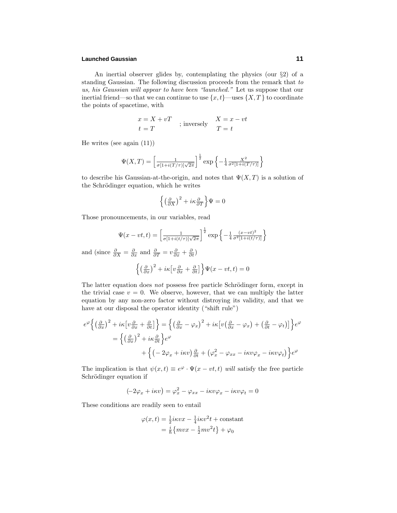## **Launched Gaussian 11**

An inertial observer glides by, contemplating the physics (our  $\S$ 2) of a standing Gaussian. The following discussion proceeds from the remark that to us, his Gaussian will appear to have been "launched." Let us suppose that our inertial friend—so that we can continue to use  $\{x, t\}$ —uses  $\{X, T\}$  to coordinate the points of spacetime, with

$$
x = X + vT
$$
  
 
$$
t = T
$$
 ; inversely 
$$
X = x - vt
$$
  
 
$$
T = t
$$

He writes (see again (11))

$$
\Psi(X,T) = \left[\frac{1}{\sigma[1+i(T/\tau)]\sqrt{2\pi}}\right]^{\frac{1}{2}} \exp\left\{-\frac{1}{4}\frac{X^2}{\sigma^2[1+i(T/\tau)]}\right\}
$$

to describe his Gaussian-at-the-origin, and notes that  $\Psi(X,T)$  is a solution of the Schrödinger equation, which he writes

$$
\left\{ \left(\frac{\partial}{\partial X}\right)^2 + i\kappa \frac{\partial}{\partial T} \right\} \Psi = 0
$$

Those pronouncements, in our variables, read

$$
\Psi(x - vt, t) = \left[\frac{1}{\sigma[1 + i(t/\tau)]\sqrt{2\pi}}\right]^{\frac{1}{2}} \exp\left\{-\frac{1}{4} \frac{(x - vt)^2}{\sigma^2[1 + i(t/\tau)]}\right\}
$$

and (since  $\frac{\partial}{\partial X} = \frac{\partial}{\partial x}$  and  $\frac{\partial}{\partial T} = v \frac{\partial}{\partial x} + \frac{\partial}{\partial t}$ )

$$
\left\{ \left(\frac{\partial}{\partial x}\right)^2 + i\kappa \left[v\frac{\partial}{\partial x} + \frac{\partial}{\partial t}\right] \right\} \Psi(x - vt, t) = 0
$$

The latter equation does *not* possess free particle Schrödinger form, except in the trivial case  $v = 0$ . We observe, however, that we can multiply the latter equation by any non-zero factor without distroying its validity, and that we have at our disposal the operator identity ("shift rule")

$$
e^{\varphi}\left\{ \left(\frac{\partial}{\partial x}\right)^{2} + i\kappa \left[v\frac{\partial}{\partial x} + \frac{\partial}{\partial t}\right] \right\} = \left\{ \left(\frac{\partial}{\partial x} - \varphi_{x}\right)^{2} + i\kappa \left[v\left(\frac{\partial}{\partial x} - \varphi_{x}\right) + \left(\frac{\partial}{\partial t} - \varphi_{t}\right)\right] \right\} e^{\varphi}
$$

$$
= \left\{ \left(\frac{\partial}{\partial x}\right)^{2} + i\kappa \frac{\partial}{\partial t} \right\} e^{\varphi}
$$

$$
+ \left\{ \left(-2\varphi_{x} + i\kappa v\right) \frac{\partial}{\partial t} + \left(\varphi_{x}^{2} - \varphi_{xx} - i\kappa v\varphi_{x} - i\kappa v\varphi_{t}\right) \right\} e^{\varphi}
$$

The implication is that  $\psi(x,t) \equiv e^{\varphi} \cdot \Psi(x-vt,t)$  will satisfy the free particle Schrödinger equation if

$$
(-2\varphi_x + i\kappa v) = \varphi_x^2 - \varphi_{xx} - i\kappa v \varphi_x - i\kappa v \varphi_t = 0
$$

These conditions are readily seen to entail

$$
\varphi(x,t) = \frac{1}{2}ikvx - \frac{1}{4}ikv^2t + \text{constant}
$$

$$
= \frac{i}{\hbar} \{mvx - \frac{1}{2}mv^2t\} + \varphi_0
$$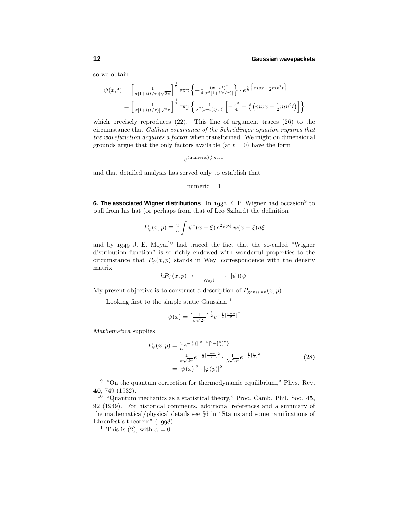so we obtain

$$
\psi(x,t) = \left[\frac{1}{\sigma[1+i(t/\tau)]\sqrt{2\pi}}\right]^{\frac{1}{2}} \exp\left\{-\frac{1}{4}\frac{(x-vt)^2}{\sigma^2[1+i(t/\tau)]}\right\} \cdot e^{\frac{i}{\hbar}\left\{mvx - \frac{1}{2}mv^2t\right\}} \n= \left[\frac{1}{\sigma[1+i(t/\tau)]\sqrt{2\pi}}\right]^{\frac{1}{2}} \exp\left\{\frac{1}{\sigma^2[1+i(t/\tau)]}\left[-\frac{x^2}{4} + \frac{i}{\hbar}\left(mvx - \frac{1}{2}mv^2t\right)\right]\right\}
$$

which precisely reproduces  $(22)$ . This line of argument traces  $(26)$  to the circumstance that Galilian covariance of the Schrödinger equation requires that the wavefunction acquires a factor when transformed. We might on dimensional grounds argue that the only factors available (at  $t = 0$ ) have the form

 $e^{(\text{numeric})\frac{i}{\hbar}mvx}$ 

and that detailed analysis has served only to establish that

```
numeric = 1
```
**6. The associated Wigner distributions**. In 1932 E. P. Wigner had occasion<sup>9</sup> to pull from his hat (or perhaps from that of Leo Szilard) the definition

$$
P_{\psi}(x,p) \equiv \frac{2}{h} \int \psi^*(x+\xi) e^{2\frac{i}{h}p\xi} \psi(x-\xi) d\xi
$$

and by  $1949$  J. E. Moyal<sup>10</sup> had traced the fact that the so-called "Wigner distribution function" is so richly endowed with wonderful properties to the circumstance that  $P_{\psi}(x, p)$  stands in Weyl correspondence with the density matrix

$$
hP_{\psi}(x,p) \longleftrightarrow |\psi)(\psi|
$$

My present objective is to construct a description of  $P_{\text{gaussian}}(x, p)$ .

Looking first to the simple static Gaussian $11$ 

$$
\psi(x) = \left[\frac{1}{\sigma\sqrt{2\pi}}\right]^{\frac{1}{2}} e^{-\frac{1}{4}\left[\frac{x-a}{\sigma}\right]^2}
$$

*Mathematica* supplies

$$
P_{\psi}(x, p) = \frac{2}{h} e^{-\frac{1}{2}\{[\frac{x-a}{\sigma}]^{2} + [\frac{p}{\lambda}]^{2}\}}
$$
  
= 
$$
\frac{1}{\sigma\sqrt{2\pi}} e^{-\frac{1}{2}[\frac{x-a}{\sigma}]^{2}} \cdot \frac{1}{\lambda\sqrt{2\pi}} e^{-\frac{1}{2}[\frac{p}{\lambda}]^{2}}
$$
  
= 
$$
|\psi(x)|^{2} \cdot |\varphi(p)|^{2}
$$
 (28)

 $9$  "On the quantum correction for thermodynamic equilibrium," Phys. Rev. **40**, 749 (1932).

<sup>10</sup> "Quantum mechanics as a statistical theory," Proc. Camb. Phil. Soc. **45**, 92 (1949). For historical comments, additional references and a summary of the mathematical/physical details see §6 in "Status and some ramifications of Ehrenfest's theorem"  $(1998)$ .

<sup>&</sup>lt;sup>11</sup> This is (2), with  $\alpha = 0$ .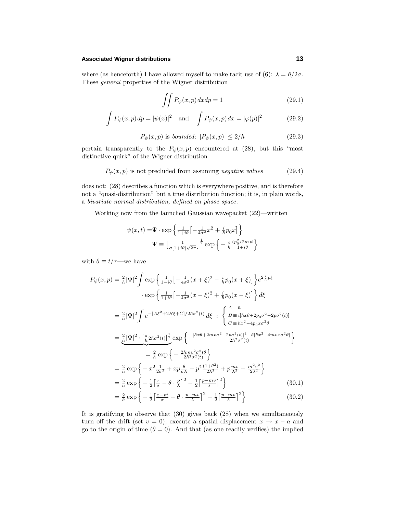## **Associated Wigner distributions 13**

where (as henceforth) I have allowed myself to make tacit use of (6):  $\lambda = \hbar/2\sigma$ . These *general* properties of the Wigner distribution

$$
\iint P_{\psi}(x, p) dx dp = 1 \tag{29.1}
$$

$$
\int P_{\psi}(x, p) dp = |\psi(x)|^2 \quad \text{and} \quad \int P_{\psi}(x, p) dx = |\varphi(p)|^2 \tag{29.2}
$$

$$
P_{\psi}(x, p) \text{ is bounded: } |P_{\psi}(x, p)| \le 2/h \tag{29.3}
$$

pertain transparently to the  $P_{\psi}(x, p)$  encountered at (28), but this "most distinctive quirk" of the Wigner distribution

$$
P_{\psi}(x, p) \text{ is not precluded from assuming negative values } (29.4)
$$

does not: (28) describes a function which is everywhere positive, and is therefore not a "quasi-distribution" but a true distribution function; it is, in plain words, a bivariate normal distribution, defined on phase space.

Working now from the launched Gaussian wavepacket (22)—written

$$
\psi(x,t) = \Psi \cdot \exp\left\{ \frac{1}{1+i\theta} \left[ -\frac{1}{4\sigma^2} x^2 + \frac{i}{\hbar} p_0 x \right] \right\}
$$

$$
\Psi \equiv \left[ \frac{1}{\sigma [1+i\theta] \sqrt{2\pi}} \right]^{\frac{1}{2}} \exp\left\{ -\frac{i}{\hbar} \frac{(p_0^2/2m)t}{1+i\theta} \right\}
$$

with  $\theta \equiv t/\tau$ —we have

$$
P_{\psi}(x, p) = \frac{2}{h} |\Psi|^2 \int \exp \left\{ \frac{1}{1 - i\theta} \left[ -\frac{1}{4\sigma^2} (x + \xi)^2 - \frac{i}{\hbar} p_0 (x + \xi) \right] \right\} e^{2\frac{i}{\hbar} p\xi}
$$
  
\n
$$
\cdot \exp \left\{ \frac{1}{1 + i\theta} \left[ -\frac{1}{4\sigma^2} (x - \xi)^2 + \frac{i}{\hbar} p_0 (x - \xi) \right] \right\} d\xi
$$
  
\n
$$
= \frac{2}{h} |\Psi|^2 \int e^{-\left[ A\xi^2 + 2B\xi + C \right] / 2\hbar \sigma^2(t)} d\xi \quad : \begin{cases} A \equiv \hbar \\ B \equiv i[\hbar x \theta + 2p_0 \sigma^2 - 2p\sigma^2(t)] \\ C \equiv \hbar x^2 - 4p_0 x \sigma^2 \theta \end{cases}
$$
  
\n
$$
= \frac{2}{\hbar} |\Psi|^2 \cdot \left[ \frac{\pi}{\hbar} 2\hbar \sigma^2(t) \right]^{\frac{1}{2}} \exp \left\{ \frac{-[\hbar x \theta + 2m\nu \sigma^2 - 2p\sigma^2(t)]^2 - \hbar[\hbar x^2 - 4m\nu x \sigma^2 \theta]}{2\hbar^2 \sigma^2(t)} \right\}
$$
  
\n
$$
= \frac{2}{\hbar} \exp \left\{ -\frac{2\hbar m\nu^2 \sigma^2 t \theta}{2\hbar^2 \sigma^2(t)} \right\}
$$
  
\n
$$
= \frac{2}{\hbar} \exp \left\{ -x^2 \frac{1}{2\sigma^2} + xp \frac{\theta}{\sigma\lambda} - p^2 \frac{(1+\theta^2)}{2\lambda^2} + p \frac{mv}{\lambda^2} - \frac{m^2 v^2}{2\lambda^2} \right\}
$$
  
\n
$$
= \frac{2}{\hbar} \exp \left\{ -\frac{1}{2} \left[ \frac{x}{\sigma} - \theta \cdot \frac{p}{\lambda} \right]^2 - \frac{1}{2} \left[ \frac{p - mv}{\lambda} \right]^2 \right\}
$$
  
\n
$$
= \frac{2}{\hbar} \exp \left\{ -\frac{1}{2} \left[ \frac{x - vt
$$

$$
h^{0.1} + 21 \sigma
$$
  $\lambda = 21 \lambda + 1$  (0.012)  
It is gratifying to observe that (30) gives back (28) when we simultaneously

turn off the drift (set  $v = 0$ ), execute a spatial displacement  $x \to x - a$  and go to the origin of time  $(\theta = 0)$ . And that (as one readily verifies) the implied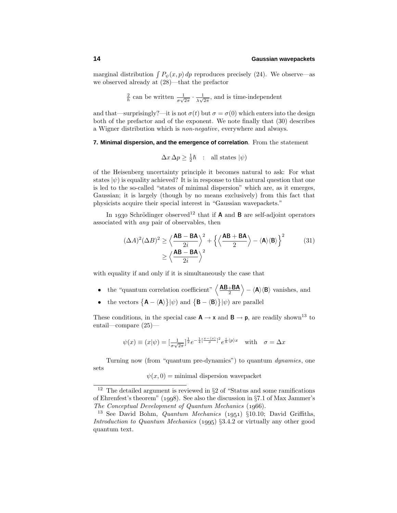marginal distribution  $\int P_{\psi}(x, p) dp$  reproduces precisely (24). We observe—as we observed already at (28)—that the prefactor

 $\frac{2}{h}$  can be written  $\frac{1}{\sigma\sqrt{2\pi}} \cdot \frac{1}{\lambda\sqrt{2\pi}}$ , and is time-independent

and that—surprisingly?—it is not  $\sigma(t)$  but  $\sigma = \sigma(0)$  which enters into the design both of the prefactor and of the exponent. We note finally that  $(30)$  describes a Wigner distribution which is non-negative, everywhere and always.

#### **7. Minimal dispersion, and the emergence of correlation**. From the statement

$$
\Delta x \,\Delta p \ge \frac{1}{2}\hbar \quad : \text{ all states } |\psi)
$$

ofthe Heisenberg uncertainty principle it becomes natural to ask: For what states  $|\psi\rangle$  is equality achieved? It is in response to this natural question that one is led to the so-called "states of minimal dispersion" which are, as it emerges, Gaussian; it is largely (though by no means exclusively) from this fact that physicists acquire their special interest in "Gaussian wavepackets."

In 1930 Schrödinger observed<sup>12</sup> that if **A** and **B** are self-adjoint operators associated with  $any$  pair of observables, then

$$
(\Delta A)^2 (\Delta B)^2 \ge \left\langle \frac{\mathbf{AB} - \mathbf{BA}}{2i} \right\rangle^2 + \left\{ \left\langle \frac{\mathbf{AB} + \mathbf{BA}}{2} \right\rangle - \langle \mathbf{A} \rangle \langle \mathbf{B} \rangle \right\}^2 \tag{31}
$$

$$
\ge \left\langle \frac{\mathbf{AB} - \mathbf{BA}}{2i} \right\rangle^2
$$

with equality if and only if it is simultaneously the case that

- the "quantum correlation coefficient"  $\left\langle \frac{\mathbf{AB}_{+}\mathbf{BA}}{2} \right\rangle \left\langle \mathbf{A} \right\rangle \left\langle \mathbf{B} \right\rangle$  vanishes, and
- the vectors  $\{A \langle A \rangle\}|\psi\rangle$  and  $\{B \langle B \rangle\}|\psi\rangle$  are parallel

These conditions, in the special case  $A \rightarrow x$  and  $B \rightarrow p$ , are readily shown<sup>13</sup> to entail—compare (25)—

$$
\psi(x) \equiv (x|\psi) = \left[\frac{1}{\sigma\sqrt{2\pi}}\right]^{\frac{1}{2}} e^{-\frac{1}{4}\left[\frac{x-(x)}{\sigma}\right]^2} e^{\frac{i}{\hbar}\langle p\rangle x} \quad \text{with} \quad \sigma = \Delta x
$$

Turning now (from "quantum pre-dynamics") to quantum dynamics, one sets

 $\psi(x,0) = \text{minimal dispersion wavepacket}$ 

<sup>&</sup>lt;sup>12</sup> The detailed argument is reviewed in  $\S 2$  of "Status and some ramifications" of Ehrenfest's theorem" (1998). See also the discussion in  $\S 7.1$  of Max Jammer's The Conceptual Development of Quantum Mechanics  $(1966)$ .

<sup>&</sup>lt;sup>13</sup> See David Bohm, *Quantum Mechanics* (1951) §10.10; David Griffiths, Introduction to Quantum Mechanics  $(1995)$  §3.4.2 or virtually any other good quantum text.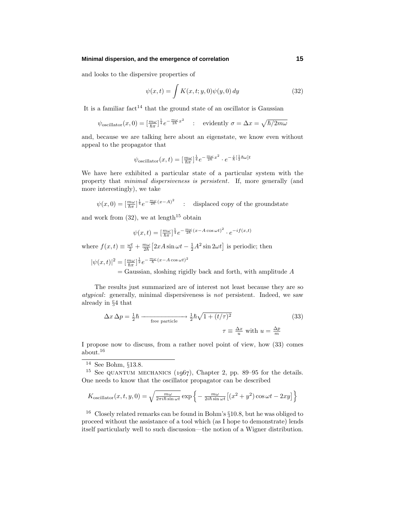## **Minimal dispersion, and the emergence of correlation 15**

and looks to the dispersive properties of

$$
\psi(x,t) = \int K(x,t;y,0)\psi(y,0) dy \qquad (32)
$$

It is a familiar fact<sup>14</sup> that the ground state of an oscillator is Gaussian

$$
\psi_{\text{oscillator}}(x,0) = \left[\frac{m\omega}{\hbar\pi}\right]^{\frac{1}{4}}e^{-\frac{m\omega}{2\hbar}x^2} \quad : \quad \text{evidently } \sigma = \Delta x = \sqrt{\hbar/2m\omega}
$$

and, because we are talking here about an eigenstate, we know even without appeal to the propagator that

$$
\psi_{\text{oscillator}}(x,t) = \left[\frac{m\omega}{\hbar\pi}\right]^{\frac{1}{4}} e^{-\frac{m\omega}{2\hbar}x^2} \cdot e^{-\frac{i}{\hbar}\left[\frac{1}{2}\hbar\omega\right]t}
$$

We have here exhibited a particular state of a particular system with the property that minimal dispersiveness is persistent. If, more generally (and more interestingly), we take

 $\psi(x,0) = \left[\frac{m\omega}{\hbar\pi}\right]^{\frac{1}{4}}e^{-\frac{m\omega}{2\hbar}(x-A)^2}$  : displaced copy of the groundstate

and work from  $(32)$ , we at length<sup>15</sup> obtain

$$
\psi(x,t) = \left[\frac{m\omega}{\hbar\pi}\right]^{\frac{1}{4}} e^{-\frac{m\omega}{2\hbar}(x-A\cos\omega t)^2} \cdot e^{-if(x,t)}
$$

where  $f(x,t) \equiv \frac{\omega t}{2} + \frac{m\omega}{2\hbar} \left[ 2xA\sin\omega t - \frac{1}{2}A^2\sin 2\omega t \right]$  is periodic; then

 $|\psi(x,t)|^2 = \left[\frac{m\omega}{\hbar\pi}\right]^{\frac{1}{2}}e^{-\frac{m\omega}{\hbar}(x-A\cos\omega t)^2}$ = Gaussian, sloshing rigidly back and forth, with amplitude *A*

The results just summarized are of interest not least because they are so atypical: generally, minimal dispersiveness is not persistent. Indeed, we saw already in §4 that

$$
\Delta x \,\Delta p = \frac{1}{2}\hbar \xrightarrow{\text{free particle}} \frac{1}{2}\hbar\sqrt{1 + (t/\tau)^2} \tag{33}
$$
\n
$$
\tau \equiv \frac{\Delta x}{u} \text{ with } u = \frac{\Delta p}{m}
$$

I propose now to discuss, from a rather novel point of view, how (33) comes about.<sup>16</sup>

$$
K_{\text{oscillator}}(x, t, y, 0) = \sqrt{\frac{m\omega}{2\pi i\hbar \sin \omega t}} \exp \left\{-\frac{m\omega}{2i\hbar \sin \omega t} \left[ (x^2 + y^2) \cos \omega t - 2xy \right] \right\}
$$

<sup>16</sup> Closely related remarks can be found in Bohm's §10.8, but he was obliged to proceed without the assistance ofa tool which (as I hope to demonstrate) lends itself particularly well to such discussion—the notion of a Wigner distribution.

<sup>&</sup>lt;sup>14</sup> See Bohm, §13.8.

<sup>&</sup>lt;sup>15</sup> See QUANTUM MECHANICS ( $1067$ ), Chapter 2, pp. 89–95 for the details. One needs to know that the oscillator propagator can be described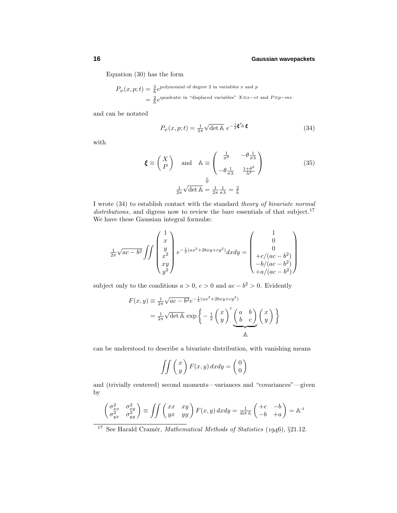Equation (30) has the form

$$
P_{\psi}(x, p; t) = \frac{2}{h}e^{\text{polynomial of degree 2 in variables } x \text{ and } p}
$$
  
=  $\frac{2}{h}e^{\text{quadratic in "displaced variables" } X \equiv x - vt \text{ and } P \equiv p - mv}$ 

and can be notated

$$
P_{\psi}(x, p; t) = \frac{1}{2\pi} \sqrt{\det \mathbb{A}} \ e^{-\frac{1}{2} \boldsymbol{\xi}^{\mathsf{T}_{\mathbb{A}}} \boldsymbol{\xi}}
$$
(34)

with

$$
\boldsymbol{\xi} \equiv \begin{pmatrix} X \\ P \end{pmatrix} \text{ and } \mathbb{A} \equiv \begin{pmatrix} \frac{1}{\sigma^2} & -\theta \frac{1}{\sigma \lambda} \\ -\theta \frac{1}{\sigma \lambda} & \frac{1+\theta^2}{\lambda^2} \end{pmatrix} \tag{35}
$$
\n
$$
\frac{1}{2\pi} \sqrt{\det \mathbb{A}} = \frac{1}{2\pi} \frac{1}{\sigma \lambda} = \frac{2}{h}
$$

I wrote (34) to establish contact with the standard theory of bivariate normal  $distributions$ , and digress now to review the bare essentials of that subject.<sup>17</sup> We have these Gaussian integral formulæ:

$$
\frac{1}{2\pi}\sqrt{ac-b^2} \iiint \begin{pmatrix} 1 \\ x \\ y \\ x^2 \\ xy \\ y^2 \end{pmatrix} e^{-\frac{1}{2}(ax^2+2bxy+cy^2)}dxdy = \begin{pmatrix} 1 \\ 0 \\ 0 \\ +c/(ac-b^2) \\ -b/(ac-b^2) \\ +a/(ac-b^2) \end{pmatrix}
$$

subject only to the conditions  $a > 0$ ,  $c > 0$  and  $ac - b^2 > 0$ . Evidently

$$
F(x,y) \equiv \frac{1}{2\pi} \sqrt{ac - b^2} e^{-\frac{1}{2}(ax^2 + 2bxy + cy^2)}
$$
  
=  $\frac{1}{2\pi} \sqrt{\det A} \exp \left\{-\frac{1}{2} \begin{pmatrix} x \\ y \end{pmatrix}^{\dagger} \begin{pmatrix} a & b \\ b & c \end{pmatrix} \begin{pmatrix} x \\ y \end{pmatrix} \right\}$ 

can be understood to describe a bivariate distribution, with vanishing means

$$
\iint \begin{pmatrix} x \\ y \end{pmatrix} F(x, y) dx dy = \begin{pmatrix} 0 \\ 0 \end{pmatrix}
$$

and (trivially centered) second moments—variances and "covariances"—given by

$$
\begin{pmatrix} \sigma_{xx}^2 & \sigma_{xy}^2 \\ \sigma_{yx}^2 & \sigma_{yy}^2 \end{pmatrix} \equiv \iint \begin{pmatrix} xx & xy \\ yx & yy \end{pmatrix} F(x, y) dx dy = \frac{1}{\det \mathbb{A}} \begin{pmatrix} +c & -b \\ -b & +a \end{pmatrix} = \mathbb{A}^{-1}
$$

<sup>&</sup>lt;sup>17</sup> See Harald Cramér, *Mathematical Methods of Statistics* (1946), §21.12.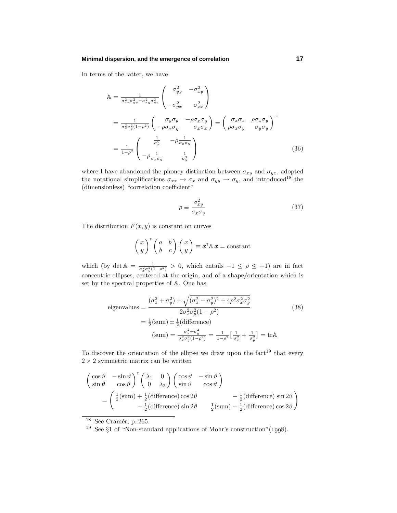## **Minimal dispersion, and the emergence of correlation 17**

In terms of the latter, we have

$$
\begin{split}\n\mathbb{A} &= \frac{1}{\sigma_{xx}^2 \sigma_{yy}^2 - \sigma_{xy}^2 \sigma_{yx}^2} \begin{pmatrix} \sigma_{yy}^2 & -\sigma_{xy}^2 \\ -\sigma_{yx}^2 & \sigma_{xx}^2 \end{pmatrix} \\
&= \frac{1}{\sigma_x^2 \sigma_y^2 (1 - \rho^2)} \begin{pmatrix} \sigma_y \sigma_y & -\rho \sigma_x \sigma_y \\ -\rho \sigma_x \sigma_y & \sigma_x \sigma_x \end{pmatrix} = \begin{pmatrix} \sigma_x \sigma_x & \rho \sigma_x \sigma_y \\ \rho \sigma_x \sigma_y & \sigma_y \sigma_y \end{pmatrix}^{-1} \\
&= \frac{1}{1 - \rho^2} \begin{pmatrix} \frac{1}{\sigma_x^2} & -\rho \frac{1}{\sigma_x \sigma_y} \\ -\rho \frac{1}{\sigma_x \sigma_y} & \frac{1}{\sigma_y^2} \end{pmatrix}\n\end{split} \tag{36}
$$

where I have abandoned the phoney distinction between  $\sigma_{xy}$  and  $\sigma_{yx}$ , adopted the notational simplifications  $\sigma_{xx} \to \sigma_x$  and  $\sigma_{yy} \to \sigma_y$ , and introduced<sup>18</sup> the (dimensionless) "correlation coefficient"

$$
\rho \equiv \frac{\sigma_{xy}^2}{\sigma_x \sigma_y} \tag{37}
$$

The distribution  $F(x, y)$  is constant on curves

$$
\begin{pmatrix} x \\ y \end{pmatrix}^\mathsf{T} \begin{pmatrix} a & b \\ b & c \end{pmatrix} \begin{pmatrix} x \\ y \end{pmatrix} \equiv \pmb{x}^\mathsf{T} \mathbb{A} \pmb{x} = \text{constant}
$$

which (by det  $\mathbb{A} = \frac{1}{\sigma_x^2 \sigma_y^2 (1 - \rho^2)} > 0$ , which entails  $-1 \leq \rho \leq +1$ ) are in fact concentric ellipses, centered at the origin, and of a shape/orientation which is set by the spectral properties of A. One has

eigenvalues 
$$
= \frac{(\sigma_x^2 + \sigma_y^2) \pm \sqrt{(\sigma_x^2 - \sigma_y^2)^2 + 4\rho^2 \sigma_x^2 \sigma_y^2}}{2\sigma_x^2 \sigma_y^2 (1 - \rho^2)}
$$
(38)
$$
= \frac{1}{2} (\text{sum}) \pm \frac{1}{2} (\text{difference})
$$

$$
(\text{sum}) = \frac{\sigma_x^2 + \sigma_y^2}{\sigma_x^2 \sigma_y^2 (1 - \rho^2)} = \frac{1}{1 - \rho^2} \left[ \frac{1}{\sigma_x^2} + \frac{1}{\sigma_y^2} \right] = \text{tr} \mathbb{A}
$$

To discover the orientation of the ellipse we draw upon the  $fact^{19}$  that every  $2 \times 2$  symmetric matrix can be written

$$
\begin{pmatrix}\n\cos \vartheta & -\sin \vartheta \\
\sin \vartheta & \cos \vartheta\n\end{pmatrix}^{\mathrm{T}} \begin{pmatrix}\n\lambda_1 & 0 \\
0 & \lambda_2\n\end{pmatrix} \begin{pmatrix}\n\cos \vartheta & -\sin \vartheta \\
\sin \vartheta & \cos \vartheta\n\end{pmatrix}
$$
\n
$$
= \begin{pmatrix}\n\frac{1}{2}(\text{sum}) + \frac{1}{2}(\text{difference})\cos 2\vartheta & -\frac{1}{2}(\text{difference})\sin 2\vartheta \\
-\frac{1}{2}(\text{difference})\sin 2\vartheta & \frac{1}{2}(\text{sum}) - \frac{1}{2}(\text{difference})\cos 2\vartheta\n\end{pmatrix}
$$

 $^{18}$  See Cramér, p. 265.

<sup>&</sup>lt;sup>19</sup> See  $\S1$  of "Non-standard applications of Mohr's construction"(1998).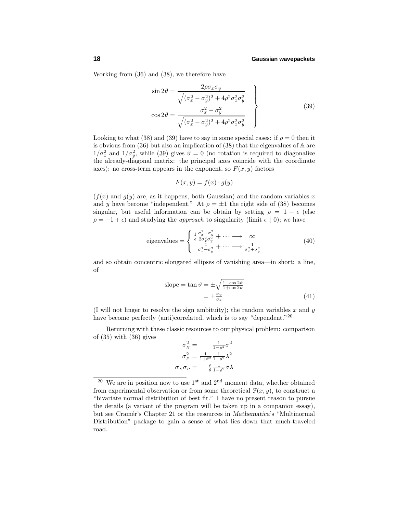Working from (36) and (38), we therefore have

$$
\sin 2\theta = \frac{2\rho \sigma_x \sigma_y}{\sqrt{(\sigma_x^2 - \sigma_y^2)^2 + 4\rho^2 \sigma_x^2 \sigma_y^2}}
$$
\n
$$
\cos 2\theta = \frac{\sigma_x^2 - \sigma_y^2}{\sqrt{(\sigma_x^2 - \sigma_y^2)^2 + 4\rho^2 \sigma_x^2 \sigma_y^2}}
$$
\n(39)

Looking to what (38) and (39) have to say in some special cases: if  $\rho = 0$  then it is obvious from (36) but also an implication of (38) that the eigenvalues of A are  $1/\sigma_x^2$  and  $1/\sigma_y^2$ , while (39) gives  $\vartheta = 0$  (no rotation is required to diagonalize the already-diagonal matrix: the principal axes coincide with the coordinate axes): no cross-term appears in the exponent, so  $F(x, y)$  factors

$$
F(x, y) = f(x) \cdot g(y)
$$

 $(f(x)$  and  $g(y)$  are, as it happens, both Gaussian) and the random variables x and *y* have become "independent." At  $\rho = \pm 1$  the right side of (38) becomes singular, but useful information can be obtain by setting  $\rho = 1 - \epsilon$  (else  $\rho = -1 + \epsilon$ ) and studying the *approach* to singularity (limit  $\epsilon \downarrow 0$ ); we have

eigenvalues 
$$
= \begin{cases} \frac{1}{\epsilon} \frac{\sigma_x^2 + \sigma_y^2}{2\sigma_x^2 \sigma_y^2} + \cdots \longrightarrow \infty \\ \frac{1}{\sigma_x^2 + \sigma_y^2} + \cdots \longrightarrow \frac{1}{\sigma_x^2 + \sigma_y^2} \end{cases}
$$
(40)

and so obtain concentric elongated ellipses of vanishing area—in short: a line, of

slope = 
$$
\tan \vartheta = \pm \sqrt{\frac{1 - \cos 2\vartheta}{1 + \cos 2\vartheta}}
$$
  
=  $\pm \frac{\sigma_y}{\sigma_x}$  (41)

(I will not linger to resolve the sign ambituity); the random variables *x* and *y* have become perfectly (anti)correlated, which is to say "dependent."<sup>20</sup>

Returning with these classic resources to our physical problem: comparison of  $(35)$  with  $(36)$  gives

$$
\sigma_X^2 = \frac{1}{1-\rho^2} \sigma^2
$$

$$
\sigma_P^2 = \frac{1}{1+\theta^2} \frac{1}{1-\rho^2} \lambda^2
$$

$$
\sigma_X \sigma_P = \frac{\rho}{\theta} \frac{1}{1-\rho^2} \sigma \lambda
$$

<sup>&</sup>lt;sup>20</sup> We are in position now to use  $1<sup>st</sup>$  and  $2<sup>nd</sup>$  moment data, whether obtained from experimental observation or from some theoretical  $\mathcal{F}(x, y)$ , to construct a "bivariate normal distribution of best fit." I have no present reason to pursue the details (a variant of the program will be taken up in a companion essay), but see Cram´er's Chapter 21 or the resources in *Mathematica*'s "Multinormal Distribution" package to gain a sense of what lies down that much-traveled road.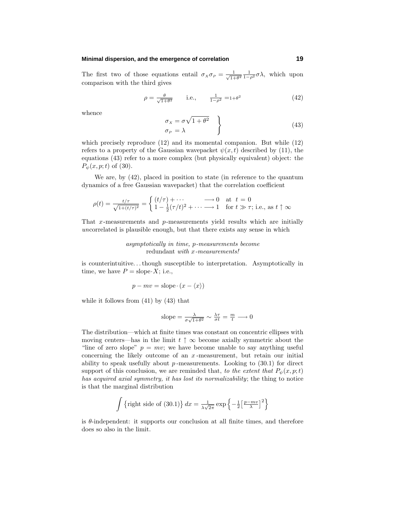## **Minimal dispersion, and the emergence of correlation 19**

The first two of those equations entail  $\sigma_X \sigma_P = \frac{1}{\sqrt{1+\theta^2}} \frac{1}{1-\rho^2} \sigma \lambda$ , which upon comparison with the third gives

$$
\rho = \frac{\theta}{\sqrt{1+\theta^2}} \qquad \text{i.e.,} \qquad \frac{1}{1-\rho^2} = 1+\theta^2 \tag{42}
$$

whence

$$
\begin{aligned}\n\sigma_X &= \sigma \sqrt{1 + \theta^2} \\
\sigma_P &= \lambda\n\end{aligned} \tag{43}
$$

which precisely reproduce (12) and its momental companion. But while (12) refers to a property of the Gaussian wavepacket  $\psi(x, t)$  described by (11), the equations (43) refer to a more complex (but physically equivalent) object: the  $P_{\psi}(x, p; t)$  of (30).

We are, by (42), placed in position to state (in reference to the quantum dynamics of a free Gaussian wavepacket) that the correlation coefficient

$$
\rho(t) = \frac{t/\tau}{\sqrt{1 + (t/\tau)^2}} = \begin{cases} (t/\tau) + \cdots & \longrightarrow 0 \text{ at } t = 0\\ 1 - \frac{1}{2}(\tau/t)^2 + \cdots & \longrightarrow 1 \text{ for } t \gg \tau; \text{ i.e., as } t \uparrow \infty \end{cases}
$$

That *x*-measurements and *p*-measurements yield results which are initially uncorrelated is plausible enough, but that there exists any sense in which

#### asymptotically in time, *p*-measurements become redundant with *x*-measurements!

is counterintuitive*...*though susceptible to interpretation. Asymptotically in time, we have  $P =$  slope $\cdot X$ ; i.e.,

$$
p - mv = \text{slope} \cdot (x - \langle x \rangle)
$$

while it follows from (41) by (43) that

slope = 
$$
\frac{\lambda}{\sigma\sqrt{1+\theta^2}} \sim \frac{\lambda\tau}{\sigma t} = \frac{m}{t} \longrightarrow 0
$$

The distribution—which at finite times was constant on concentric ellipses with moving centers—has in the limit  $t \uparrow \infty$  become axially symmetric about the "line of zero slope"  $p = mv$ ; we have become unable to say anything useful concerning the likely outcome of an  $x$ -measurement, but retain our initial ability to speak usefully about  $p$ -measurements. Looking to  $(30.1)$  for direct support of this conclusion, we are reminded that, to the extent that  $P_{\psi}(x, p; t)$ has acquired axial symmetry, it has lost its normalizability; the thing to notice is that the marginal distribution

$$
\int {\lbrace \text{right side of (30.1)} \rbrace} dx = \frac{1}{\lambda \sqrt{2\pi}} \exp \left\{-\frac{1}{2} \left[\frac{p - mv}{\lambda}\right]^2\right\}
$$

is *θ*-independent: it supports our conclusion at all finite times, and therefore does so also in the limit.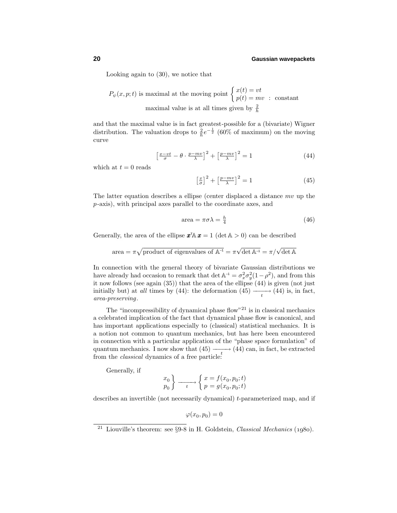Looking again to (30), we notice that

 $P_{\psi}(x, p; t)$  is maximal at the moving point  $\begin{cases} x(t) = vt \\ y(t) = mv \end{cases}$  $p(t) = mv$  : constant maximal value is at all times given by  $\frac{2}{h}$ 

and that the maximal value is in fact greatest-possible for a (bivariate) Wigner distribution. The valuation drops to  $\frac{2}{h}e^{-\frac{1}{2}}$  (60% of maximum) on the moving curve

$$
\left[\frac{x-vt}{\sigma} - \theta \cdot \frac{p-mv}{\lambda}\right]^2 + \left[\frac{p-mv}{\lambda}\right]^2 = 1\tag{44}
$$

which at  $t = 0$  reads

$$
\left[\frac{x}{\sigma}\right]^2 + \left[\frac{p - mv}{\lambda}\right]^2 = 1\tag{45}
$$

The latter equation describes a ellipse (center displaced a distance *mv* up the *p*-axis), with principal axes parallel to the coordinate axes, and

$$
\text{area} = \pi \sigma \lambda = \frac{h}{4} \tag{46}
$$

Generally, the area of the ellipse  $\mathbf{x}^{\dagger} \mathbf{A} \mathbf{x} = 1$  (det  $\mathbf{A} > 0$ ) can be described

area = 
$$
\pi\sqrt{\text{product of eigenvalues of }\mathbb{A}^{-1}} = \pi\sqrt{\det\mathbb{A}^{-1}} = \pi/\sqrt{\det\mathbb{A}}
$$

In connection with the general theory of bivariate Gaussian distributions we have already had occasion to remark that det  $\mathbb{A}^{-1} = \sigma_x^2 \sigma_y^2 (1 - \rho^2)$ , and from this it now follows (see again (35)) that the area of the ellipse (44) is given (not just initially but) at *all* times by (44): the deformation (45)  $\longrightarrow$  (44) is, in fact, area-preserving.

The "incompressibility of dynamical phase flow"<sup>21</sup> is in classical mechanics a celebrated implication of the fact that dynamical phase flow is canonical, and has important applications especially to (classical) statistical mechanics. It is a notion not common to quantum mechanics, but has here been encountered in connection with a particular application of the "phase space formulation" of quantum mechanics. I now show that  $(45)$   $\longrightarrow$   $(44)$  can, in fact, be extracted from the *classical* dynamics of a free particle:

Generally, if

$$
\begin{array}{c}\nx_0 \\
p_0\n\end{array}
$$
\n
$$
\longrightarrow \begin{cases}\nx = f(x_0, p_0; t) \\
p = g(x_0, p_0; t)\n\end{cases}
$$

describes an invertible (not necessarily dynamical) *t*-parameterized map, and if

 $\varphi(x_0, p_0) = 0$ 

<sup>&</sup>lt;sup>21</sup> Liouville's theorem: see  $\S 9-8$  in H. Goldstein, *Classical Mechanics* (1980).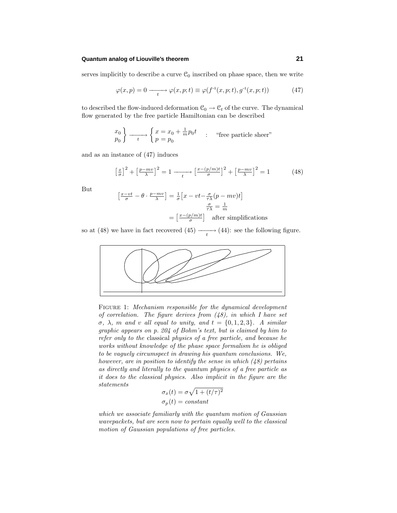## **Quantum analog of Liouville's theorem 21**

serves implicitly to describe a curve  $\mathcal{C}_0$  inscribed on phase space, then we write

$$
\varphi(x,p) = 0 \longrightarrow_{t} \varphi(x,p;t) \equiv \varphi(f^{-1}(x,p;t),g^{-1}(x,p;t)) \tag{47}
$$

to described the flow-induced deformation  $\mathcal{C}_0 \to \mathcal{C}_t$  of the curve. The dynamical flow generated by the free particle Hamiltonian can be described

$$
\begin{array}{c}\nx_0 \\
p_0\n\end{array}\right\}\n\longrightarrow\n\begin{cases}\nx = x_0 + \frac{1}{m}p_0 t \\
p = p_0\n\end{cases}
$$

and as an instance of  $(47)$  induces

$$
\left[\frac{x}{\sigma}\right]^2 + \left[\frac{p - mv}{\lambda}\right]^2 = 1 \longrightarrow \left[\frac{x - (p/m)t}{\sigma}\right]^2 + \left[\frac{p - mv}{\lambda}\right]^2 = 1 \tag{48}
$$

But

$$
\left[\frac{x-vt}{\sigma} - \theta \cdot \frac{p-mv}{\lambda}\right] = \frac{1}{\sigma} \left[x - vt - \frac{\sigma}{\tau \lambda} (p-mv)t\right]
$$

$$
\frac{\sigma}{\tau \lambda} = \frac{1}{m}
$$

$$
= \left[\frac{x-(p/m)t}{\sigma}\right] \quad \text{after simplifications}
$$

so at (48) we have in fact recovered (45)  $\longrightarrow$  (44): see the following figure.



FIGURE 1: Mechanism responsible for the dynamical development of correlation. The figure derives from  $(48)$ , in which I have set  $\sigma$ ,  $\lambda$ , *m* and *v* all equal to unity, and  $t = \{0, 1, 2, 3\}$ . A similar graphic appears on p. 204 of Bohm's text, but is claimed by him to refer only to the classical physics of a free particle, and because he works without knowledge of the phase space formalism he is obliged to be vaguely circumspect in drawing his quantum conclusions. We, however, are in position to identify the sense in which  $(48)$  pertains as directly and literally to the quantum physics of a free particle as it does to the classical physics. Also implicit in the figure are the statements

$$
\sigma_x(t) = \sigma \sqrt{1 + (t/\tau)^2}
$$

$$
\sigma_p(t) = constant
$$

which we associate familiarly with the quantum motion of Gaussian wavepackets, but are seen now to pertain equally well to the classical motion of Gaussian populations of free particles.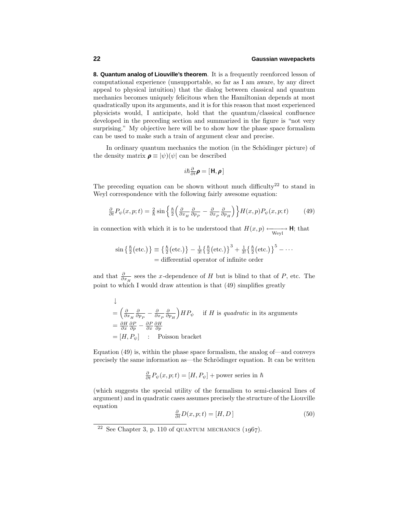**8. Quantum analog of Liouville's theorem**. It is a frequently reenforced lesson of computational experience (unsupportable, so far as I am aware, by any direct appeal to physical intuition) that the dialog between classical and quantum mechanics becomes uniquely felicitous when the Hamiltonian depends at most quadratically upon its arguments, and it is for this reason that most experienced physicists would, I anticipate, hold that the quantum/classical confluence developed in the preceding section and summarized in the figure is "not very surprising." My objective here will be to show how the phase space formalism can be used to make such a train of argument clear and precise.

In ordinary quantum mechanics the motion (in the Schödinger picture) of the density matrix  $\rho \equiv |\psi\rangle(\psi|)$  can be described

$$
i\hbar\textstyle{\frac{\partial}{\partial t}}\pmb{\rho}=[\mathbf{H},\pmb{\rho}]
$$

The preceding equation can be shown without much difficulty<sup>22</sup> to stand in Weyl correspondence with the following fairly awesome equation:

$$
\frac{\partial}{\partial t}P_{\psi}(x,p;t) = \frac{2}{\hbar} \sin \left\{ \frac{\hbar}{2} \left( \frac{\partial}{\partial x_H} \frac{\partial}{\partial p_P} - \frac{\partial}{\partial x_P} \frac{\partial}{\partial p_H} \right) \right\} H(x,p) P_{\psi}(x,p;t) \tag{49}
$$

in connection with which it is to be understood that  $H(x,p) \longleftrightarrow_{Weyl} \mathbf{H}$ ; that

$$
\sin\left\{\frac{\hbar}{2}\left(\text{etc.}\right)\right\} = \left\{\frac{\hbar}{2}\left(\text{etc.}\right)\right\} - \frac{1}{3!}\left\{\frac{\hbar}{2}\left(\text{etc.}\right)\right\}^3 + \frac{1}{3!}\left\{\frac{\hbar}{2}\left(\text{etc.}\right)\right\}^5 - \cdots
$$
\n
$$
= \text{differential operator of infinite order}
$$

and that  $\frac{\partial}{\partial x_H}$  sees the *x*-dependence of *H* but is blind to that of *P*, etc. The point to which I would draw attention is that (49) simplifies greatly

$$
\downarrow
$$
\n
$$
= \left(\frac{\partial}{\partial x_H} \frac{\partial}{\partial p_P} - \frac{\partial}{\partial x_P} \frac{\partial}{\partial p_H}\right) H P_{\psi} \quad \text{if } H \text{ is quadratic in its arguments}
$$
\n
$$
= \frac{\partial H}{\partial x} \frac{\partial P}{\partial p} - \frac{\partial P}{\partial x} \frac{\partial H}{\partial p}
$$
\n
$$
= [H, P_{\psi}] \quad \text{: Poisson bracket}
$$

Equation (49) is, within the phase space formalism, the analog of—and conveys precisely the same information as—the Schrödinger equation. It can be written

$$
\frac{\partial}{\partial t}P_{\psi}(x,p;t) = [H, P_{\psi}] + \text{power series in } \hbar
$$

(which suggests the special utility of the formalism to semi-classical lines of argument) and in quadratic cases assumes precisely the structure of the Liouville equation

$$
\frac{\partial}{\partial t}D(x, p; t) = [H, D] \tag{50}
$$

<sup>&</sup>lt;sup>22</sup> See Chapter 3, p. 110 of QUANTUM MECHANICS  $(1967)$ .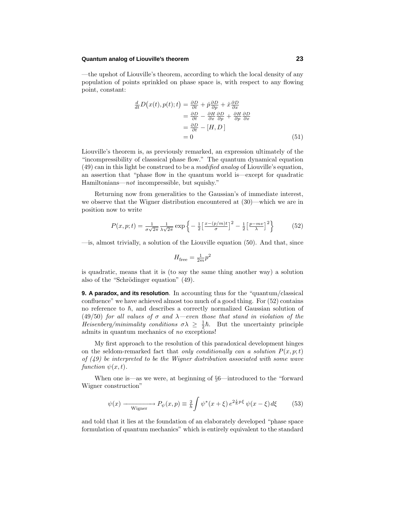## **Quantum analog of Liouville's theorem 23**

—the upshot of Liouville's theorem, according to which the local density of any population of points sprinkled on phase space is, with respect to any flowing point, constant:

$$
\frac{d}{dt}D(x(t), p(t); t) = \frac{\partial D}{\partial t} + \dot{p}\frac{\partial D}{\partial p} + \dot{x}\frac{\partial D}{\partial x} \n= \frac{\partial D}{\partial t} - \frac{\partial H}{\partial x}\frac{\partial D}{\partial p} + \frac{\partial H}{\partial p}\frac{\partial D}{\partial x} \n= \frac{\partial D}{\partial t} - [H, D] \n= 0
$$
\n(51)

Liouville's theorem is, as previously remarked, an expression ultimately of the "incompressibility of classsical phase flow." The quantum dynamical equation  $(49)$  can in this light be construed to be a *modified analog* of Liouville's equation, an assertion that "phase flow in the quantum world is—except for quadratic Hamiltonians—not incompressible, but squishy."

Returning now from generalities to the Gaussian's of immediate interest, we observe that the Wigner distribution encountered at (30)—which we are in position now to write

$$
P(x, p; t) = \frac{1}{\sigma\sqrt{2\pi}} \frac{1}{\lambda\sqrt{2\pi}} \exp\left\{-\frac{1}{2} \left[\frac{x - (p/m)t}{\sigma}\right]^2 - \frac{1}{2} \left[\frac{p - mv}{\lambda}\right]^2\right\} \tag{52}
$$

 $\equiv$  is, almost trivially, a solution of the Liouville equation (50). And that, since

$$
H_{\rm free} = \tfrac{1}{2m} p^2
$$

is quadratic, means that it is (to say the same thing another way) a solution also of the "Schrödinger equation" (49).

**9. A paradox, and its resolution**. In accounting thus for the "quantum/classical confluence" we have achieved almost too much of a good thing. For  $(52)$  contains no reference to  $\hbar$ , and describes a correctly normalized Gaussian solution of (49/50) for all values of  $\sigma$  and  $\lambda$ —even those that stand in violation of the Heisenberg/minimality conditions  $\sigma \lambda \geq \frac{1}{2}\hbar$ . But the uncertainty principle admits in quantum mechanics of no exceptions!

My first approach to the resolution of this paradoxical development hinges on the seldom-remarked fact that only conditionally can a solution  $P(x, p; t)$ of  $(49)$  be interpreted to be the Wigner distribution associated with some wave  $function \psi(x,t)$ .

When one is—as we were, at beginning of §6—introduced to the "forward Wigner construction"

$$
\psi(x) \longrightarrow_{\text{Wigner}} P_{\psi}(x, p) \equiv \frac{2}{h} \int \psi^*(x + \xi) e^{2\frac{i}{h}p\xi} \psi(x - \xi) d\xi \tag{53}
$$

and told that it lies at the foundation of an elaborately developed "phase space formulation of quantum mechanics" which is entirely equivalent to the standard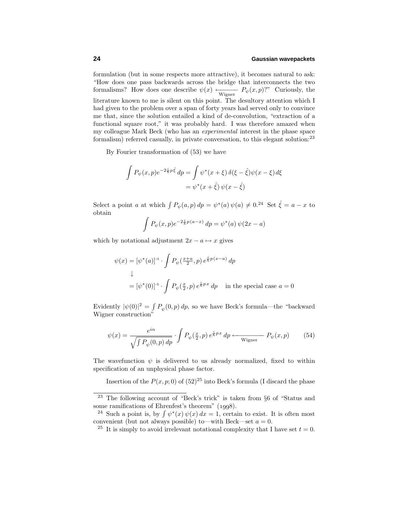formulation (but in some respects more attractive), it becomes natural to ask: "How does one pass backwards across the bridge that interconnects the two formalisms? How does one describe  $\psi(x) \leftarrow_{\text{Wigner}} P_{\psi}(x, p)$ ?" Curiously, the literature known to me is silent on this point. The desultory attention which I had given to the problem over a span of forty years had served only to convince me that, since the solution entailed a kind of de-convolution, "extraction of a functional square root," it was probably hard. I was therefore amazed when my colleague Mark Beck (who has an experimental interest in the phase space formalism) referred casually, in private conversation, to this elegant solution:<sup>23</sup>

By Fourier transformation of (53) we have

$$
\int P_{\psi}(x,p)e^{-2\frac{i}{\hbar}p\hat{\xi}} dp = \int \psi^*(x+\xi)\,\delta(\xi-\hat{\xi})\psi(x-\xi)d\xi
$$

$$
= \psi^*(x+\hat{\xi})\,\psi(x-\hat{\xi})
$$

Select a point *a* at which  $\int P_{\psi}(a, p) dp = \psi^*(a) \psi(a) \neq 0.24$  Set  $\hat{\xi} = a - x$  to obtain

$$
\int P_{\psi}(x, p)e^{-2\frac{i}{\hbar}p(a-x)} dp = \psi^{*}(a) \psi(2x - a)
$$

which by notational adjustment  $2x - a \mapsto x$  gives

$$
\psi(x) = [\psi^*(a)]^{-1} \cdot \int P_{\psi}(\frac{x+a}{2}, p) e^{\frac{i}{\hbar}p(x-a)} dp
$$
  
\n
$$
\downarrow
$$
  
\n
$$
= [\psi^*(0)]^{-1} \cdot \int P_{\psi}(\frac{x}{2}, p) e^{\frac{i}{\hbar}px} dp \quad \text{in the special case } a = 0
$$

Evidently  $|\psi(0)|^2 = \int P_{\psi}(0, p) dp$ , so we have Beck's formula—the "backward" Wigner construction"

$$
\psi(x) = \frac{e^{i\alpha}}{\sqrt{\int P_{\psi}(0, p) dp}} \cdot \int P_{\psi}(\frac{x}{2}, p) e^{\frac{i}{\hbar} p x} dp \longleftarrow_{\text{Wigner}} P_{\psi}(x, p) \tag{54}
$$

The wavefunction  $\psi$  is delivered to us already normalized, fixed to within specification of an unphysical phase factor.

Insertion of the  $P(x, p; 0)$  of  $(52)^{25}$  into Beck's formula (I discard the phase

<sup>&</sup>lt;sup>23</sup> The following account of "Beck's trick" is taken from  $\S6$  of "Status and some ramifications of Ehrenfest's theorem"  $(1998)$ .

<sup>&</sup>lt;sup>24</sup> Such a point is, by  $\int \psi^*(x) \psi(x) dx = 1$ , certain to exist. It is often most convenient (but not always possible) to—with Beck—set  $a = 0$ .

<sup>&</sup>lt;sup>25</sup> It is simply to avoid irrelevant notational complexity that I have set  $t = 0$ .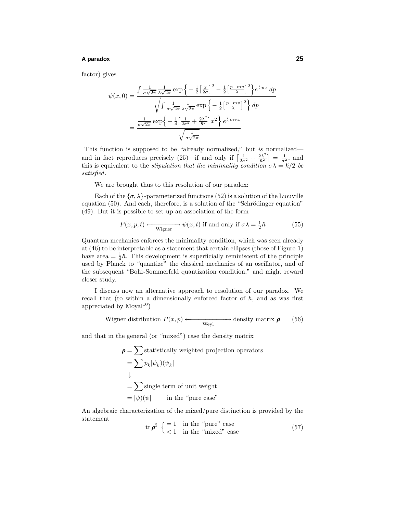## **A paradox 25**

factor) gives

$$
\psi(x,0) = \frac{\int \frac{1}{\sigma\sqrt{2\pi}} \frac{1}{\lambda\sqrt{2\pi}} \exp\left\{-\frac{1}{2}\left[\frac{x}{2\sigma}\right]^2 - \frac{1}{2}\left[\frac{p-mv}{\lambda}\right]^2\right\} e^{\frac{i}{\hbar}px} dp}{\sqrt{\int \frac{1}{\sigma\sqrt{2\pi}} \frac{1}{\lambda\sqrt{2\pi}} \exp\left\{-\frac{1}{2}\left[\frac{p-mv}{\lambda}\right]^2\right\} dp}}
$$

$$
= \frac{\frac{1}{\sigma\sqrt{2\pi}} \exp\left\{-\frac{1}{4}\left[\frac{1}{2\sigma^2} + \frac{2\lambda^2}{\hbar^2}\right]x^2\right\} e^{\frac{i}{\hbar}mvx}}{\sqrt{\frac{1}{\sigma\sqrt{2\pi}}}}
$$

This function is supposed to be "already normalized," but is normalized and in fact reproduces precisely  $(25)$ —if and only if  $\left[\frac{1}{2\sigma^2} + \frac{2\lambda^2}{\hbar^2}\right] = \frac{1}{\sigma^2}$ , and this is equivalent to the *stipulation that the minimality condition*  $\sigma \lambda = \hbar/2$  be satisfied.

We are brought thus to this resolution of our paradox:

Each of the  $\{\sigma, \lambda\}$ -parameterized functions (52) is a solution of the Liouville equation  $(50)$ . And each, therefore, is a solution of the "Schrödinger equation"  $(49)$ . But it is possible to set up an association of the form

$$
P(x, p; t) \longleftrightarrow_{\text{Wigner}} \psi(x, t) \text{ if and only if } \sigma \lambda = \frac{1}{2}\hbar \tag{55}
$$

Quantum mechanics enforces the minimality condition, which was seen already at  $(46)$  to be interpretable as a statement that certain ellipses (those of Figure 1) have area  $=\frac{1}{4}\hbar$ . This development is superficially reminiscent of the principle used by Planck to "quantize" the classical mechanics of an oscillator, and of the subsequent "Bohr-Sommerfeld quantization condition," and might reward closer study.

I discuss now an alternative approach to resolution of our paradox. We recall that (to within a dimensionally enforced factor of *h*, and as was first appreciated by  $Moyal<sup>10</sup>$ )

Wigner distribution 
$$
P(x, p)
$$
  $\longleftrightarrow$  density matrix  $\boldsymbol{\rho}$  (56)

and that in the general (or "mixed") case the density matrix

$$
\rho = \sum \text{statistically weighted projection operators}
$$
  
= 
$$
\sum p_k |\psi_k\rangle(\psi_k|
$$
  

$$
\downarrow
$$
  
= 
$$
\sum \text{single term of unit weight}
$$
  
= 
$$
|\psi\rangle(\psi|)
$$
 in the "pure case"

An algebraic characterization of the mixed/pure distinction is provided by the statement

$$
\operatorname{tr} \boldsymbol{\rho}^2 \begin{cases} = 1 & \text{in the "pure" case} \\ < 1 & \text{in the "mixed" case} \end{cases} \tag{57}
$$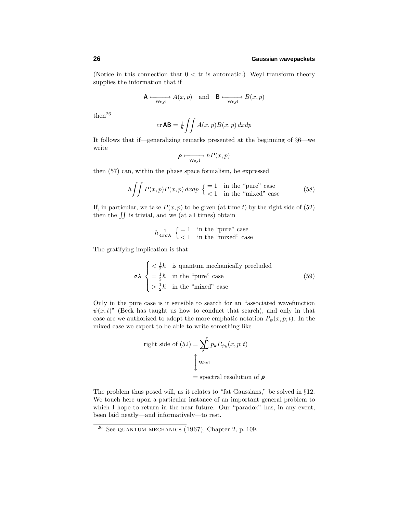(Notice in this connection that  $0 < \text{tr}$  is automatic.) Weyl transform theory supplies the information that if

$$
\mathbf{A} \xleftarrow{\text{Weyl}} A(x, p) \quad \text{and} \quad \mathbf{B} \xleftarrow{\text{Weyl}} B(x, p)
$$

 $then<sup>26</sup>$ 

$$
\operatorname{tr} \mathbf{AB} = \frac{1}{h} \iint A(x, p) B(x, p) \, dx \, dp
$$

It follows that if—generalizing remarks presented at the beginning of §6—we write

$$
\pmb{\rho} \xrightarrow[\text{Weyl}]{}
$$
  $hP(x, p)$ 

then (57) can, within the phase space formalism, be expressed

$$
h \iint P(x, p) P(x, p) dx dp \begin{cases} = 1 & \text{in the "pure" case} \\ < 1 & \text{in the "mixed" case} \end{cases}
$$
 (58)

If, in particular, we take  $P(x, p)$  to be given (at time *t*) by the right side of (52) then the  $\iint$  is trivial, and we (at all times) obtain

$$
h_{\frac{1}{4\pi\sigma\lambda}} \begin{cases} = 1 & \text{in the "pure" case} \\ < 1 & \text{in the "mixed" case} \end{cases}
$$

The gratifying implication is that

$$
\sigma \lambda \begin{cases}\n<\frac{1}{2}\hbar & \text{is quantum mechanically precluded} \\
=\frac{1}{2}\hbar & \text{in the "pure" case} \\
>\frac{1}{2}\hbar & \text{in the "mixed" case}\n\end{cases}
$$
\n(59)

Only in the pure case is it sensible to search for an "associated wavefunction  $\psi(x,t)$ " (Beck has taught us how to conduct that search), and only in that case are we authorized to adopt the more emphatic notation  $P_{\psi}(x, p; t)$ . In the mixed case we expect to be able to write something like

right side of (52) = 
$$
\sum_{k=1}^{n} p_k P_{\psi_k}(x, p; t)
$$

= spectral resolution of *ρ*

The problem thus posed will, as it relates to "fat Gaussians," be solved in §12. We touch here upon a particular instance of an important general problem to which I hope to return in the near future. Our "paradox" has, in any event, been laid neatly—and informatively—to rest.

 $^{26}$  See QUANTUM MECHANICS (1967), Chapter 2, p. 109.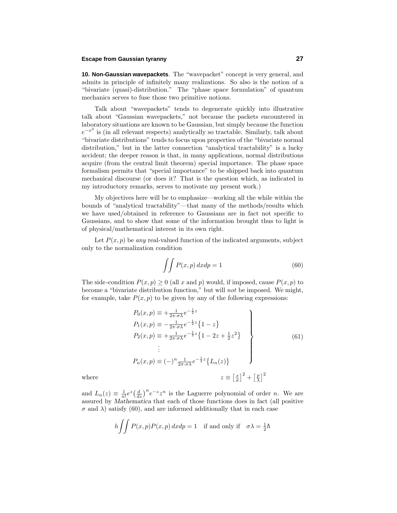## **Escape from Gaussian tyranny 27**

**10. Non-Gaussian wavepackets**. The "wavepacket" concept is very general, and admits in principle of infinitely many realizations. So also is the notion of a "bivariate (quasi)-distribution." The "phase space formulation" of quantum mechanics serves to fuse those two primitive notions.

Talk about "wavepackets" tends to degenerate quickly into illustrative talk about "Gaussian wavepackets," not because the packets encountered in laboratory situations are known to be Gaussian, but simply because the function  $e^{-x^2}$  is (in all relevant respects) analytically so tractable. Similarly, talk about "bivariate distributions" tends to focus upon properties of the "bivariate normal distribution," but in the latter connection "analytical tractability" is a lucky accident; the deeper reason is that, in many applications, normal distributions acquire (from the central limit theorem) special importance. The phase space formalism permits that "special importance" to be shipped back into quantum mechanical discourse (or does it? That is the question which, as indicated in my introductory remarks, serves to motivate my present work.)

My objectives here will be to emphasize—working all the while within the bounds of "analytical tractability"—that many of the methods/results which we have used/obtained in reference to Gaussians are in fact not specific to Gaussians, and to show that some of the information brought thus to light is of physical/mathematical interest in its own right.

Let  $P(x, p)$  be any real-valued function of the indicated arguments, subject only to the normalization condition

$$
\int \int P(x, p) \, dx \, dp = 1 \tag{60}
$$

The side-condition  $P(x, p) \ge 0$  (all *x* and *p*) would, if imposed, cause  $P(x, p)$  to become a "bivariate distribution function," but will not be imposed. We might, for example, take  $P(x, p)$  to be given by any of the following expressions:

$$
P_0(x, p) \equiv +\frac{1}{2\pi \cdot \sigma \lambda} e^{-\frac{1}{2}z}
$$
  
\n
$$
P_1(x, p) \equiv -\frac{1}{2\pi \cdot \sigma \lambda} e^{-\frac{1}{2}z} \{1 - z\}
$$
  
\n
$$
P_2(x, p) \equiv +\frac{1}{2\pi \cdot \sigma \lambda} e^{-\frac{1}{2}z} \{1 - 2z + \frac{1}{2}z^2\}
$$
  
\n
$$
\vdots
$$
  
\n
$$
P_n(x, p) \equiv (-)^n \frac{1}{2\pi \cdot \sigma \lambda} e^{-\frac{1}{2}z} \{L_n(z)\}
$$
  
\nwhere  
\n
$$
z \equiv \left[\frac{x}{\sigma}\right]^2 + \left[\frac{p}{\lambda}\right]^2
$$
 (61)

and  $L_n(z) \equiv \frac{1}{n!} e^z \left(\frac{d}{dz}\right)^n e^{-z} z^n$  is the Laguerre polynomial of order *n*. We are assured by *Mathematica* that each of those functions does in fact (all positive  $\sigma$  and  $\lambda$ ) satisfy (60), and are informed additionally that in each case

$$
h \iint P(x, p)P(x, p) dx dp = 1 \text{ if and only if } \sigma \lambda = \frac{1}{2}\hbar
$$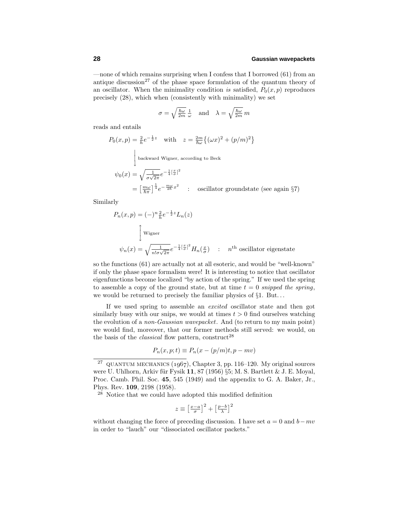—none of which remains surprising when I confess that I borrowed (61) from an antique discussion<sup>27</sup> of the phase space formulation of the quantum theory of an oscillator. When the minimality condition is satisfied,  $P_0(x, p)$  reproduces precisely (28), which when (consistently with minimality) we set

$$
\sigma = \sqrt{\frac{\hbar \omega}{2m}} \frac{1}{\omega} \quad \text{and} \quad \lambda = \sqrt{\frac{\hbar \omega}{2m}} m
$$

reads and entails

$$
P_0(x, p) = \frac{2}{h} e^{-\frac{1}{2}z} \quad \text{with} \quad z = \frac{2m}{\hbar\omega} \left\{ (\omega x)^2 + (p/m)^2 \right\}
$$
  
\n
$$
\begin{cases}\n\text{backward Wigner, according to Beck} \\
\psi_0(x) = \sqrt{\frac{1}{\sigma\sqrt{2\pi}}} e^{-\frac{1}{4}[\frac{x}{\sigma}]^2} \\
= \left[\frac{m\omega}{\hbar\pi}\right]^{\frac{1}{4}} e^{-\frac{m\omega}{2\hbar}x^2} \quad \text{: oscillator groundstate (see again §7)}\n\end{cases}
$$

Similarly

$$
P_n(x, p) = (-)^n \frac{2}{h} e^{-\frac{1}{2}z} L_n(z)
$$
  

$$
\int \text{Wigner}
$$
  

$$
\psi_n(x) = \sqrt{\frac{1}{n! \sigma \sqrt{2\pi}}} e^{-\frac{1}{4} [\frac{x}{\sigma}]^2} H_n(\frac{x}{\sigma}) \quad : \quad n^{\text{th}} \text{ oscillator eigenstate}
$$

so the functions (61) are actually not at all esoteric, and would be "well-known" ifonly the phase space formalism were! It is interesting to notice that oscillator eigenfunctions become localized "by action of the spring." If we used the spring to assemble a copy of the ground state, but at time  $t = 0$  snipped the spring, we would be returned to precisely the familiar physics of §1. But*...*

If we used spring to assemble an *excited* oscillator state and then got similarly busy with our snips, we would at times  $t > 0$  find ourselves watching the evolution of a *non-Gaussian wavepacket*. And (to return to my main point) we would find, moreover, that our former methods still served: we would, on the basis of the *classical* flow pattern, construct<sup>28</sup>

$$
P_n(x, p; t) \equiv P_n(x - (p/m)t, p - mv)
$$

<sup>28</sup> Notice that we could have adopted this modified definition

$$
z \equiv \left[\frac{x-a}{\sigma}\right]^2 + \left[\frac{p-b}{\lambda}\right]^2
$$

without changing the force of preceding discussion. I have set  $a = 0$  and  $b - mv$ in order to "lauch" our "dissociated oscillator packets."

<sup>&</sup>lt;sup>27</sup> QUANTUM MECHANICS (1967), Chapter 3, pp. 116–120. My original sources were U. Uhlhorn, Arkiv für Fysik  $11$ , 87 (1956) §5; M. S. Bartlett & J. E. Moyal, Proc. Camb. Phil. Soc. **45**, 545 (1949) and the appendix to G. A. Baker, Jr., Phys. Rev. **109**, 2198 (1958).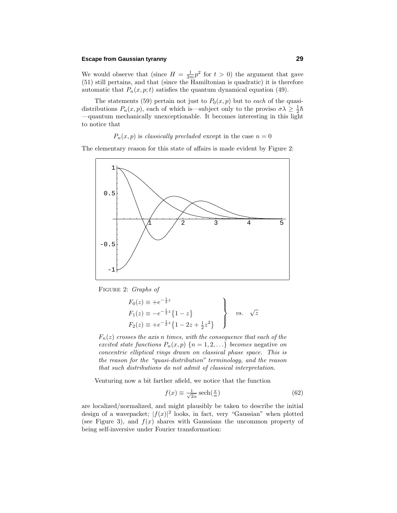## **Escape from Gaussian tyranny 29**

We would observe that (since  $H = \frac{1}{2m} p^2$  for  $t > 0$ ) the argument that gave (51) still pertains, and that (since the Hamiltonian is quadratic) it is therefore automatic that  $P_n(x, p; t)$  satisfies the quantum dynamical equation (49).

The statements (59) pertain not just to  $P_0(x, p)$  but to each of the quasidistributions  $P_n(x, p)$ , each of which is—subject only to the proviso  $\sigma \lambda \geq \frac{1}{2}\hbar$ —quantum mechanically unexceptionable. It becomes interesting in this light to notice that

#### $P_n(x, p)$  is *classically precluded* except in the case  $n = 0$

The elementary reason for this state of affairs is made evident by Figure 2:



Figure 2: Graphs of

$$
F_0(z) \equiv +e^{-\frac{1}{2}z}
$$
  
\n
$$
F_1(z) \equiv -e^{-\frac{1}{2}z} \{1-z\}
$$
  
\n
$$
F_2(z) \equiv +e^{-\frac{1}{2}z} \{1-2z+\frac{1}{2}z^2\}
$$
 vs.  $\sqrt{z}$ 

 $F_n(z)$  crosses the axis *n* times, with the consequence that each of the excited state functions  $P_n(x, p)$   $\{n = 1, 2, ...\}$  becomes negative on concentric elliptical rings drawn on classical phase space. This is the reason for the "quasi-distribution" terminology, and the reason that such distributions do not admit of classical interpretation.

Venturing now a bit farther afield, we notice that the function

$$
f(x) \equiv \frac{1}{\sqrt{2\alpha}} \operatorname{sech}(\frac{x}{\alpha})
$$
\n(62)

are localized/normalized, and might plausibly be taken to describe the initial design of a wavepacket;  $|f(x)|^2$  looks, in fact, very "Gaussian" when plotted (see Figure 3), and  $f(x)$  shares with Gaussians the uncommon property of being self-inversive under Fourier transformation: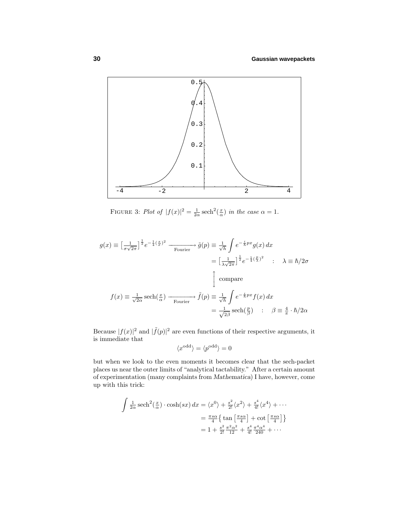

FIGURE 3: Plot of  $|f(x)|^2 = \frac{1}{2\alpha} \operatorname{sech}^2(\frac{x}{\alpha})$  in the case  $\alpha = 1$ .

$$
g(x) \equiv \left[\frac{1}{\sigma\sqrt{2\pi}}\right]^{\frac{1}{2}} e^{-\frac{1}{4}\left(\frac{x}{\sigma}\right)^2} \xrightarrow{\text{Fourier}} \tilde{g}(p) \equiv \frac{1}{\sqrt{h}} \int e^{-\frac{i}{\hbar}px} g(x) dx
$$

$$
= \left[\frac{1}{\lambda\sqrt{2\pi}}\right]^{\frac{1}{2}} e^{-\frac{1}{4}\left(\frac{p}{\lambda}\right)^2} \quad : \quad \lambda \equiv \hbar/2\sigma
$$

$$
\int \text{compare}
$$

$$
f(x) \equiv \frac{1}{\sqrt{2\alpha}} \operatorname{sech}\left(\frac{x}{\alpha}\right) \xrightarrow{\text{Fourier}} \tilde{f}(p) \equiv \frac{1}{\sqrt{h}} \int e^{-\frac{i}{\hbar}px} f(x) dx
$$

$$
= \frac{1}{\sqrt{2\beta}} \operatorname{sech}\left(\frac{p}{\beta}\right) \quad : \quad \beta \equiv \frac{4}{\pi} \cdot \hbar/2\alpha
$$

Because  $|f(x)|^2$  and  $|\tilde{f}(p)|^2$  are even functions of their respective arguments, it is immediate that

$$
\langle x^{\text{odd}} \rangle = \langle p^{\text{odd}} \rangle = 0
$$

but when we look to the even moments it becomes clear that the sech-packet places us near the outer limits of "analytical tactability." After a certain amount of experimentation (many complaints from *Mathematica*) I have, however, come up with this trick:

$$
\int \frac{1}{2\alpha} \operatorname{sech}^{2}(\frac{x}{\alpha}) \cdot \cosh(sx) dx = \langle x^{0} \rangle + \frac{s^{2}}{2!} \langle x^{2} \rangle + \frac{s^{4}}{4!} \langle x^{4} \rangle + \cdots
$$

$$
= \frac{\pi s \alpha}{4} \left\{ \tan \left[ \frac{\pi s \alpha}{4} \right] + \cot \left[ \frac{\pi s \alpha}{4} \right] \right\}
$$

$$
= 1 + \frac{s^{2}}{2!} \frac{\pi^{2} \alpha^{2}}{12} + \frac{s^{4}}{4!} \frac{\pi^{4} \alpha^{4}}{240} + \cdots
$$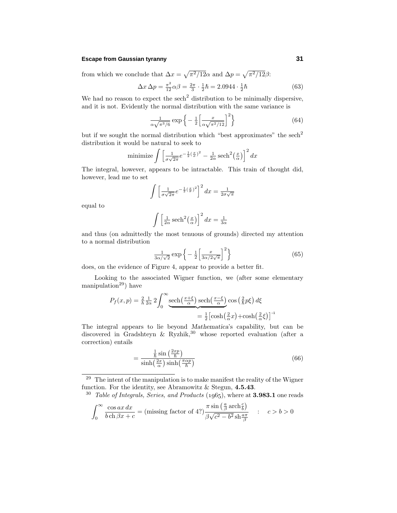## **Escape from Gaussian tyranny 31**

from which we conclude that  $\Delta x = \sqrt{\pi^2/12}\alpha$  and  $\Delta p = \sqrt{\pi^2/12}\beta$ :

$$
\Delta x \,\Delta p = \frac{\pi^2}{12}\alpha\beta = \frac{2\pi}{3} \cdot \frac{1}{2}\hbar = 2.0944 \cdot \frac{1}{2}\hbar \tag{63}
$$

We had no reason to expect the sech<sup>2</sup> distribution to be minimally dispersive, and it is not. Evidently the normal distribution with the same variance is

$$
\frac{1}{\alpha\sqrt{\pi^3/6}}\exp\left\{-\frac{1}{2}\left[\frac{x}{\alpha\sqrt{\pi^2/12}}\right]^2\right\}\tag{64}
$$

but if we sought the normal distribution which "best approximates" the sech<sup>2</sup> distribution it would be natural to seek to

minimize 
$$
\int \left[ \frac{1}{\sigma \sqrt{2\pi}} e^{-\frac{1}{2} (\frac{x}{\sigma})^2} - \frac{1}{2\alpha} \operatorname{sech}^2(\frac{x}{\alpha}) \right]^2 dx
$$

The integral, however, appears to be intractable. This train of thought did, however, lead me to set

$$
\int \left[ \frac{1}{\sigma \sqrt{2\pi}} e^{-\frac{1}{2}(\frac{x}{\sigma})^2} \right]^2 dx = \frac{1}{2\sigma \sqrt{\pi}}
$$

equal to

$$
\int \left[\frac{1}{2\alpha} \operatorname{sech}^2\left(\frac{x}{\alpha}\right)\right]^2 dx = \frac{1}{3\alpha}
$$

and thus (on admittedly the most tenuous of grounds) directed my attention to a normal distribution

$$
\frac{1}{3\alpha/\sqrt{2}}\exp\left\{-\frac{1}{2}\left[\frac{x}{3\alpha/2\sqrt{\pi}}\right]^2\right\}\tag{65}
$$

does, on the evidence of Figure 4, appear to provide a better fit.

Looking to the associated Wigner function, we (after some elementary manipulation<sup>29</sup>) have

$$
P_f(x,p) = \frac{2}{h} \frac{1}{2\alpha} 2 \int_0^\infty \underbrace{\text{sech}\left(\frac{x+\xi}{\alpha}\right) \text{sech}\left(\frac{x-\xi}{\alpha}\right)}_{\text{= }\frac{1}{2}\left[\text{cosh}\left(\frac{2}{\alpha}x\right) + \text{cosh}\left(\frac{2}{\alpha}\xi\right)\right]^{-1}}
$$

The integral appears to lie beyond *Mathematica*'s capability, but can be discovered in Gradshteyn  $\&$  Ryzhik,<sup>30</sup> whose reported evaluation (after a correction) entails

$$
=\frac{\frac{1}{\hbar}\sin\left(\frac{2x}{\hbar}\right)}{\sinh\left(\frac{2x}{\alpha}\right)\sinh\left(\frac{\pi\alpha p}{\hbar}\right)}\tag{66}
$$

 $29$  The intent of the manipulation is to make manifest the reality of the Wigner function. For the identity, see Abramowitz & Stegun, **4.5.43**.

<sup>30</sup> Table of Integrals, Series, and Products (1965), where at **3.983.1** one reads

$$
\int_0^\infty \frac{\cos ax \, dx}{b \cosh \beta x + c} = (\text{missing factor of 4?}) \frac{\pi \sin \left(\frac{a}{\beta} \operatorname{arch} \frac{c}{b}\right)}{\beta \sqrt{c^2 - b^2} \operatorname{sh} \frac{a \pi}{\beta}} \qquad : \quad c > b > 0
$$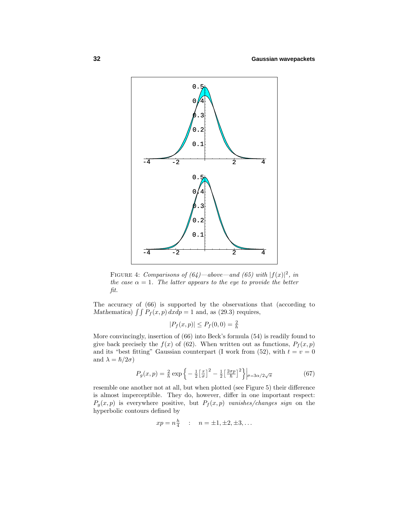

FIGURE 4: Comparisons of  $(64)$ —above—and  $(65)$  with  $|f(x)|^2$ , in the case  $\alpha = 1$ . The latter appears to the eye to provide the better fit.

The accuracy of (66) is supported by the observations that (according to *Mathematica*)  $\int \int P_f(x, p) dx dp = 1$  and, as (29.3) requires,

$$
|P_f(x, p)| \le P_f(0, 0) = \frac{2}{h}
$$

More convincingly, insertion of (66) into Beck's formula (54) is readily found to give back precisely the  $f(x)$  of (62). When written out as functions,  $P_f(x, p)$ and its "best fitting" Gaussian counterpart (I work from  $(52)$ , with  $t = v = 0$ and  $\lambda = \hslash/2\sigma$ 

$$
P_g(x,p) = \frac{2}{h} \exp\left\{-\frac{1}{2} \left[\frac{x}{\sigma}\right]^2 - \frac{1}{2} \left[\frac{2\sigma p}{\hbar}\right]^2\right\}\Big|_{\sigma=3\alpha/2\sqrt{\pi}}\tag{67}
$$

resemble one another not at all, but when plotted (see Figure 5) their difference is almost imperceptible. They do, however, differ in one important respect:  $P_g(x,p)$  is everywhere positive, but  $P_f(x,p)$  vanishes/changes sign on the hyperbolic contours defined by

$$
xp = n\frac{h}{4}
$$
 :  $n = \pm 1, \pm 2, \pm 3,...$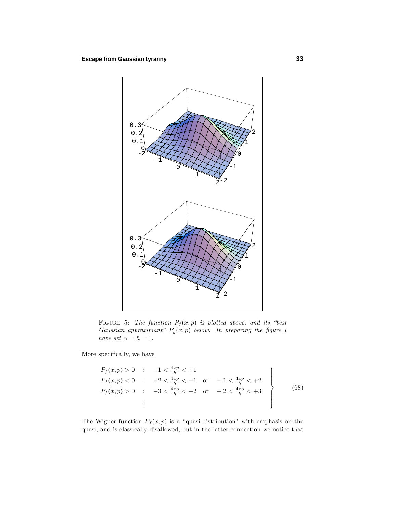

FIGURE 5: The function  $P_f(x, p)$  is plotted above, and its "best Gaussian approximant"  $P_g(x, p)$  below. In preparing the figure 1  $have set \alpha = \hbar = 1.$ 

More specifically, we have

$$
P_f(x, p) > 0 : -1 < \frac{4xp}{h} < +1
$$
\n
$$
P_f(x, p) < 0 : -2 < \frac{4xp}{h} < -1 \quad \text{or} \quad +1 < \frac{4xp}{h} < +2
$$
\n
$$
P_f(x, p) > 0 : -3 < \frac{4xp}{h} < -2 \quad \text{or} \quad +2 < \frac{4xp}{h} < +3
$$
\n
$$
\vdots
$$
\n(68)

The Wigner function  $P_f(x, p)$  is a "quasi-distribution" with emphasis on the quasi, and is classically disallowed, but in the latter connection we notice that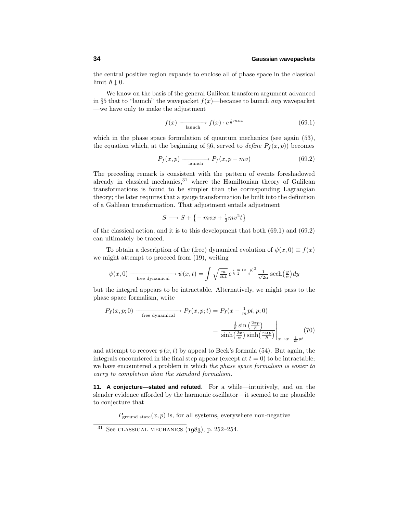the central positive region expands to enclose all of phase space in the classical limit  $\hbar \downarrow 0$ .

We know on the basis of the general Galilean transform argument advanced in §5 that to "launch" the wavepacket  $f(x)$ —because to launch *any* wavepacket —we have only to make the adjustment

$$
f(x) \xrightarrow[\text{aunch}]{}
$$
  $f(x) \cdot e^{\frac{i}{\hbar} m v x}$  (69.1)

which in the phase space formulation of quantum mechanics (see again  $(53)$ , the equation which, at the beginning of §6, served to *define*  $P_f(x, p)$  becomes

$$
P_f(x,p) \xrightarrow{\text{launch}} P_f(x,p-mv) \tag{69.2}
$$

The preceding remark is consistent with the pattern of events foreshadowed already in classical mechanics, $31$  where the Hamiltonian theory of Galilean transformations is found to be simpler than the corresponding Lagrangian theory; the later requires that a gauge transformation be built into the definition ofa Galilean transformation. That adjustment entails adjustment

$$
S \longrightarrow S + \{-mvx + \frac{1}{2}mv^2t\}
$$

of the classical action, and it is to this development that both  $(69.1)$  and  $(69.2)$ can ultimately be traced.

To obtain a description of the (free) dynamical evolution of  $\psi(x, 0) \equiv f(x)$ we might attempt to proceed from (19), writing

$$
\psi(x,0) \longrightarrow_{\text{free dynamical}} \psi(x,t) = \int \sqrt{\frac{m}{i\hbar t}} e^{\frac{i}{\hbar} \frac{m}{2} \frac{(x-y)^2}{t}} \frac{1}{\sqrt{2\alpha}} \operatorname{sech}\left(\frac{y}{\alpha}\right) dy
$$

but the integral appears to be intractable. Alternatively, we might pass to the phase space formalism, write

$$
P_f(x, p; 0) \xrightarrow{\text{free dynamical}} P_f(x, p; t) = P_f(x - \frac{1}{m}pt, p; 0)
$$

$$
= \frac{\frac{1}{\hbar}\sin\left(\frac{2xp}{\hbar}\right)}{\sinh\left(\frac{2x}{\alpha}\right)\sinh\left(\frac{\pi\alpha p}{\hbar}\right)}\Big|_{x \to x - \frac{1}{m}pt} (70)
$$

and attempt to recover  $\psi(x, t)$  by appeal to Beck's formula (54). But again, the integrals encountered in the final step appear (except at  $t = 0$ ) to be intractable; we have encountered a problem in which the phase space formalism is easier to carry to completion than the standard formalism.

**11. A conjecture—stated and refuted**. For a while—intuitively, and on the slender evidence afforded by the harmonic oscillator—it seemed to me plausible to conjecture that

 $P_{ground state}(x, p)$  is, for all systems, everywhere non-negative

 $31$  See CLASSICAL MECHANICS (1983), p. 252–254.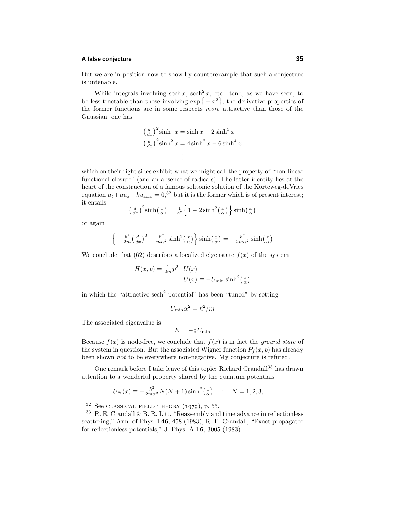## **A false conjecture 35**

But we are in position now to show by counterexample that such a conjecture is untenable.

While integrals involving sech x, sech<sup>2</sup> x, etc. tend, as we have seen, to be less tractable than those involving  $\exp\{-x^2\}$ , the derivative properties of the former functions are in some respects more attractive than those of the Gaussian; one has

$$
\left(\frac{d}{dx}\right)^2 \sinh x = \sinh x - 2\sinh^3 x
$$

$$
\left(\frac{d}{dx}\right)^2 \sinh^2 x = 4\sinh^2 x - 6\sinh^4 x
$$

$$
\vdots
$$

which on their right sides exhibit what we might call the property of "non-linear" functional closure" (and an absence of radicals). The latter identity lies at the heart of the construction of a famous solitonic solution of the Korteweg-deVries equation  $u_t + uu_x + ku_{xxx} = 0$ ,<sup>32</sup> but it is the former which is of present interest; it entails

$$
\left(\frac{d}{dx}\right)^2 \sinh\left(\frac{x}{\alpha}\right) = \frac{1}{\alpha^2} \left\{1 - 2\sinh^2\left(\frac{x}{\alpha}\right)\right\} \sinh\left(\frac{x}{\alpha}\right)
$$

or again

$$
\left\{-\frac{\hbar^2}{2m}\left(\frac{d}{dx}\right)^2 - \frac{\hbar^2}{m\alpha^2}\sinh^2\left(\frac{x}{\alpha}\right)\right\}\sinh\left(\frac{x}{\alpha}\right) = -\frac{\hbar^2}{2m\alpha^2}\sinh\left(\frac{x}{\alpha}\right)
$$

We conclude that (62) describes a localized eigenstate  $f(x)$  of the system

$$
H(x, p) = \frac{1}{2m}p^{2} + U(x)
$$

$$
U(x) \equiv -U_{\min} \sinh^{2}(\frac{x}{\alpha})
$$

in which the "attractive sech<sup>2</sup>-potential" has been "tuned" by setting

$$
U_{\min} \alpha^2 = \hbar^2/m
$$

The associated eigenvalue is

$$
E = -\frac{1}{2}U_{\text{min}}
$$

Because  $f(x)$  is node-free, we conclude that  $f(x)$  is in fact the *ground state* of the system in question. But the associated Wigner function  $P_f(x, p)$  has already been shown not to be everywhere non-negative. My conjecture is refuted.

One remark before I take leave of this topic: Richard Crandall<sup>33</sup> has drawn attention to a wonderful property shared by the quantum potentials

$$
U_N(x) \equiv -\frac{\hbar^2}{2m\alpha^2} N(N+1) \sinh^2\left(\frac{x}{\alpha}\right) \quad : \quad N = 1, 2, 3, \dots
$$

 $32$  See CLASSICAL FIELD THEORY (1979), p. 55.

 $33$  R. E. Crandall & B. R. Litt, "Reassembly and time advance in reflectionless scattering," Ann. of Phys. **146**, 458 (1983); R. E. Crandall, "Exact propagator" for reflectionless potentials," J. Phys. A **16**, 3005 (1983).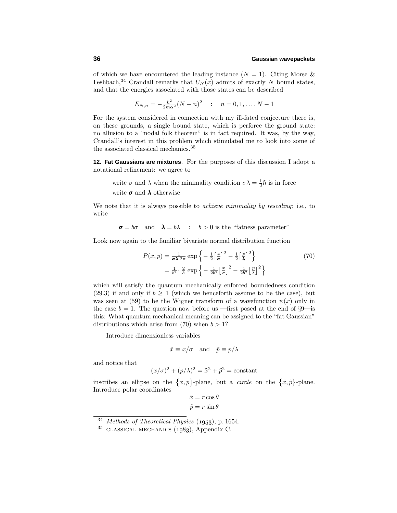of which we have encountered the leading instance  $(N = 1)$ . Citing Morse & Feshbach,<sup>34</sup> Crandall remarks that  $U_N(x)$  admits of exactly *N* bound states, and that the energies associated with those states can be described

$$
E_{N,n} = -\frac{\hbar^2}{2m\alpha^2}(N-n)^2 \quad : \quad n = 0, 1, \dots, N-1
$$

For the system considered in connection with my ill-fated conjecture there is, on these grounds, a single bound state, which is perforce the ground state: no allusion to a "nodal folk theorem" is in fact required. It was, by the way, Crandall's interest in this problem which stimulated me to look into some of the associated classical mechanics.<sup>35</sup>

**12. Fat Gaussians are mixtures**. For the purposes of this discussion I adopt a notational refinement: we agree to

write  $\sigma$  and  $\lambda$  when the minimality condition  $\sigma \lambda = \frac{1}{2}\hbar$  is in force write *σ* and *λ* otherwise

We note that it is always possible to *achieve minimality by rescaling*; i.e., to write

 $\sigma = b\sigma$  and  $\lambda = b\lambda$  :  $b > 0$  is the "fatness parameter"

Look now again to the familiar bivariate normal distribution function

$$
P(x,p) = \frac{1}{\sigma \lambda \cdot 2\pi} \exp\left\{-\frac{1}{2} \left[\frac{x}{\sigma}\right]^2 - \frac{1}{2} \left[\frac{p}{\lambda}\right]^2\right\}
$$
(70)  
=  $\frac{1}{b^2} \cdot \frac{2}{h} \exp\left\{-\frac{1}{2b^2} \left[\frac{x}{\sigma}\right]^2 - \frac{1}{2b^2} \left[\frac{p}{\lambda}\right]^2\right\}$ 

which will satisfy the quantum mechanically enforced boundedness condition (29.3) if and only if  $b \ge 1$  (which we henceforth assume to be the case), but was seen at (59) to be the Wigner transform of a wavefunction  $\psi(x)$  only in the case  $b = 1$ . The question now before us —first posed at the end of  $\S 9$ —is this: What quantum mechanical meaning can be assigned to the "fat Gaussian" distributions which arise from  $(70)$  when  $b > 1$ ?

Introduce dimensionless variables

$$
\tilde{x} \equiv x/\sigma \quad \text{and} \quad \tilde{p} \equiv p/\lambda
$$

and notice that

$$
(x/\sigma)^2 + (p/\lambda)^2 = \tilde{x}^2 + \tilde{p}^2 = \text{constant}
$$

inscribes an ellipse on the  $\{x, p\}$ -plane, but a *circle* on the  $\{\tilde{x}, \tilde{p}\}$ -plane. Introduce polar coordinates

$$
\tilde{x} = r \cos \theta
$$

$$
\tilde{p} = r \sin \theta
$$

 $34$  Methods of Theoretical Physics (1953), p. 1654.

 $35$  CLASSICAL MECHANICS  $(1983)$ , Appendix C.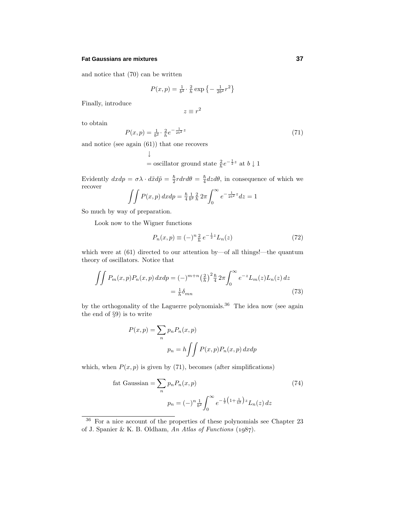## **Fat Gaussians are mixtures 37**

and notice that (70) can be written

$$
P(x, p) = \frac{1}{b^2} \cdot \frac{2}{h} \exp\left\{-\frac{1}{2b^2}r^2\right\}
$$

Finally, introduce

$$
z \equiv r^2
$$

to obtain

$$
P(x,p) = \frac{1}{b^2} \cdot \frac{2}{h} e^{-\frac{1}{2b^2}z}
$$
\n(71)

and notice (see again (61)) that one recovers

$$
\downarrow
$$
 = oscillator ground state  $\frac{2}{h}e^{-\frac{1}{2}z}$  at  $b\downarrow 1$ 

Evidently  $dxdp = \sigma \lambda \cdot d\tilde{x} d\tilde{p} = \frac{\hbar}{2} r dr d\theta = \frac{\hbar}{4} dz d\theta$ , in consequence of which we recover

$$
\int \int P(x, p) \, dx \, dp = \frac{\hbar}{4} \frac{1}{b^2} \frac{2}{h} \, 2\pi \int_0^\infty e^{-\frac{1}{2b^2} z} \, dz = 1
$$

So much by way of preparation.

Look now to the Wigner functions

$$
P_n(x,p) \equiv (-)^n \frac{2}{h} \, e^{-\frac{1}{2}z} L_n(z) \tag{72}
$$

which were at  $(61)$  directed to our attention by—of all things!—the quantum theory of oscillators. Notice that

$$
\iint P_m(x, p) P_n(x, p) \, dx \, dp = (-)^{m+n} \left(\frac{2}{h}\right)^2 \frac{\hbar}{4} \, 2\pi \int_0^\infty e^{-z} L_m(z) L_n(z) \, dz
$$
\n
$$
= \frac{1}{h} \delta_{mn} \tag{73}
$$

by the orthogonality of the Laguerre polynomials.<sup>36</sup> The idea now (see again the end of §9) is to write

$$
P(x, p) = \sum_{n} p_n P_n(x, p)
$$

$$
p_n = h \iint P(x, p) P_n(x, p) dx dp
$$

which, when  $P(x, p)$  is given by (71), becomes (after simplifications)

fat Gaussian = 
$$
\sum_{n} p_n P_n(x, p)
$$
 (74)  

$$
p_n = (-)^n \frac{1}{b^2} \int_0^\infty e^{-\frac{1}{2} (1 + \frac{1}{b^2}) z} L_n(z) dz
$$

 $36$  For a nice account of the properties of these polynomials see Chapter 23 of J. Spanier & K. B. Oldham, An Atlas of Functions  $(1987)$ .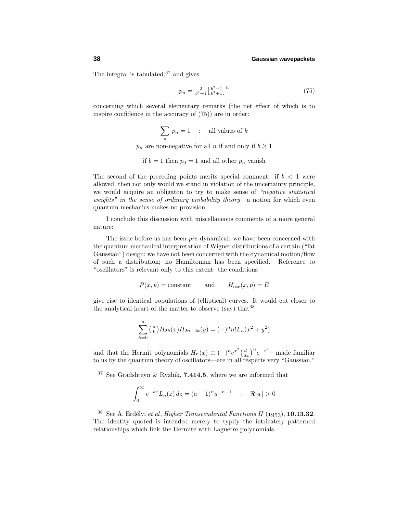The integral is tabulated,  $37$  and gives

$$
p_n = \frac{2}{b^2 + 1} \left[\frac{b^2 - 1}{b^2 + 1}\right]^n \tag{75}
$$

concerning which several elementary remarks (the net effect of which is to inspire confidence in the accuracy of  $(75)$  are in order:

$$
\sum_n p_n = 1 \quad : \quad \text{all values of } k
$$

 $p_n$  are non-negative for all *n* if and only if  $b \ge 1$ 

if 
$$
b = 1
$$
 then  $p_0 = 1$  and all other  $p_n$  vanish

The second of the preceding points merits special comment: if  $b < 1$  were allowed, then not only would we stand in violation of the uncertainty principle, we would acquire an obligaton to try to make sense of "negative statistical weights" in the sense of ordinary probability theory—a notion for which even quantum mechanics makes no provision.

I conclude this discussion with miscellaneous comments of a more general nature:

The issue before us has been pre-dynamical: we have been concerned with the quantum mechanical interpretation of Wigner distributions of a certain ("fat Gaussian") design; we have not been concerned with the dynamical motion/flow of such a distribution; no Hamiltonian has been specified. Reference to "oscillators" is relevant only to this extent: the conditions

$$
P(x, p) = \text{constant}
$$
 and  $H_{\text{osc}}(x, p) = E$ 

give rise to identical populations of(elliptical) curves. It would cut closer to the analytical heart of the matter to observe (say) that  $38$ 

$$
\sum_{k=0}^{n} \binom{n}{k} H_{2k}(x) H_{2n-2k}(y) = (-)^n n! L_n(x^2 + y^2)
$$

and that the Hermit polynomials  $H_n(x) \equiv (-)^n e^{x^2} \left(\frac{d}{dx}\right)^n e^{-x^2}$ —made familiar to us by the quantum theory of oscillators—are in all respects very "Gaussian."

<sup>37</sup> See Gradshteyn & Ryzhik, **7.414.5**, where we are informed that

$$
\int_0^\infty e^{-az} L_n(z) dz = (a-1)^n a^{-n-1} \quad : \quad \Re[a] > 0
$$

 $38$  See A. Erdélyi et al, Higher Transcendental Functions II (1953), **10.13.32**. The identity quoted is intended merely to typify the intricately patterned relationships which link the Hermite with Laguerre polynomials.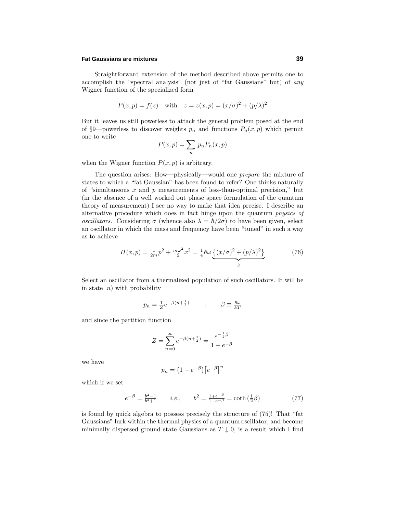## **Fat Gaussians are mixtures 39**

Straightforward extension of the method described above permits one to accomplish the "spectral analysis" (not just of "fat Gaussians" but) of any Wigner function of the specialized form

$$
P(x, p) = f(z)
$$
 with  $z = z(x, p) = (x/\sigma)^2 + (p/\lambda)^2$ 

But it leaves us still powerless to attack the general problem posed at the end of §9—powerless to discover weights  $p_n$  and functions  $P_n(x, p)$  which permit one to write

$$
P(x,p) = \sum_{n} p_n P_n(x,p)
$$

when the Wigner function  $P(x, p)$  is arbitrary.

The question arises: How—physically—would one prepare the mixture of states to which a "fat Gaussian" has been found to refer? One thinks naturally of "simultaneous  $x$  and  $p$  measurements of less-than-optimal precision," but (in the absence of a well worked out phase space formulation of the quantum theory of measurement) I see no way to make that idea precise. I describe an alternative procedure which does in fact hinge upon the quantum physics of oscillators. Considering  $\sigma$  (whence also  $\lambda = \hbar/2\sigma$ ) to have been given, select an oscillator in which the mass and frequency have been "tuned" in such a way as to achieve

$$
H(x,p) = \frac{1}{2m}p^2 + \frac{m\omega^2}{2}x^2 = \frac{1}{4}\hbar\omega \underbrace{\{(x/\sigma)^2 + (p/\lambda)^2\}}_{z}
$$
 (76)

Select an oscillator from a thermalized population of such oscillators. It will be in state  $|n\rangle$  with probability

$$
p_n = \frac{1}{Z} e^{-\beta(n + \frac{1}{2})} \qquad : \qquad \beta \equiv \frac{\hbar \omega}{kT}
$$

and since the partition function

$$
Z = \sum_{n=0}^{\infty} e^{-\beta(n + \frac{1}{2})} = \frac{e^{-\frac{1}{2}\beta}}{1 - e^{-\beta}}
$$

we have

$$
p_n = \left(1 - e^{-\beta}\right) \left[e^{-\beta}\right]^n
$$

which if we set

$$
e^{-\beta} = \frac{b^2 - 1}{b^2 + 1} \qquad i.e., \qquad b^2 = \frac{1 + e^{-\beta}}{1 - e^{-\beta}} = \coth\left(\frac{1}{2}\beta\right) \tag{77}
$$

is found by quick algebra to possess precisely the structure of (75)! That "fat Gaussians" lurk within the thermal physics of a quantum oscillator, and become minimally dispersed ground state Gaussians as  $T \downarrow 0$ , is a result which I find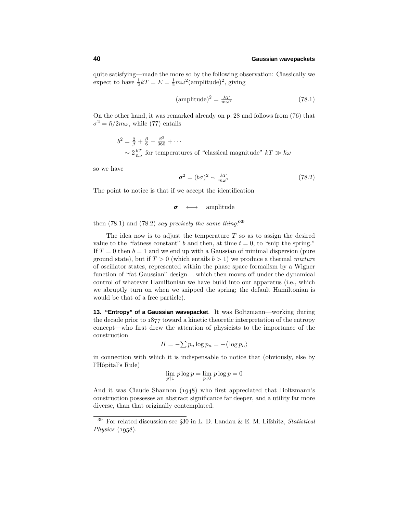quite satisfying—made the more so by the following observation: Classically we expect to have  $\frac{1}{2}kT = E = \frac{1}{2}m\omega^2(\text{amplitude})^2$ , giving

$$
(\text{amplitude})^2 = \frac{kT}{m\omega^2} \tag{78.1}
$$

On the other hand, it was remarked already on p. 28 and follows from (76) that  $\sigma^2 = \hbar/2m\omega$ , while (77) entails

$$
b^{2} = \frac{2}{\beta} + \frac{\beta}{6} - \frac{\beta^{3}}{360} + \cdots
$$
  
  $\sim 2\frac{kT}{\hbar\omega}$  for temperatures of "classical magnitude"  $kT \gg \hbar\omega$ 

so we have

$$
\sigma^2 = (b\sigma)^2 \sim \frac{kT}{m\omega^2} \tag{78.2}
$$

The point to notice is that if we accept the identification

$$
\sigma \quad \longleftrightarrow \quad \text{amplitude}
$$

then  $(78.1)$  and  $(78.2)$  say precisely the same thing!<sup>39</sup>

The idea now is to adjust the temperature *T* so as to assign the desired value to the "fatness constant" *b* and then, at time  $t = 0$ , to "snip the spring." If  $T = 0$  then  $b = 1$  and we end up with a Gaussian of minimal dispersion (pure ground state), but if  $T > 0$  (which entails  $b > 1$ ) we produce a thermal mixture ofoscillator states, represented within the phase space formalism by a Wigner function of "fat Gaussian" design*...* which then moves off under the dynamical control of whatever Hamiltonian we have build into our apparatus (i.e., which we abruptly turn on when we snipped the spring; the default Hamiltonian is would be that of a free particle).

**13. "Entropy" of a Gaussian wavepacket**. It was Boltzmann—working during the decade prior to  $1877$  toward a kinetic theoretic interpretation of the entropy concept—who first drew the attention of physicists to the importance of the construction

$$
H = -\sum p_n \log p_n = -\langle \log p_n \rangle
$$

in connection with which it is indispensable to notice that (obviously, else by l'Hôpital's Rule)

$$
\lim_{p \uparrow 1} p \log p = \lim_{p \downarrow 0} p \log p = 0
$$

And it was Claude Shannon  $(1948)$  who first appreciated that Boltzmann's construction possesses an abstract significance far deeper, and a utility far more diverse, than that originally contemplated.

<sup>&</sup>lt;sup>39</sup> For related discussion see §30 in L. D. Landau & E. M. Lifshitz, *Statistical* Physics  $(1958)$ .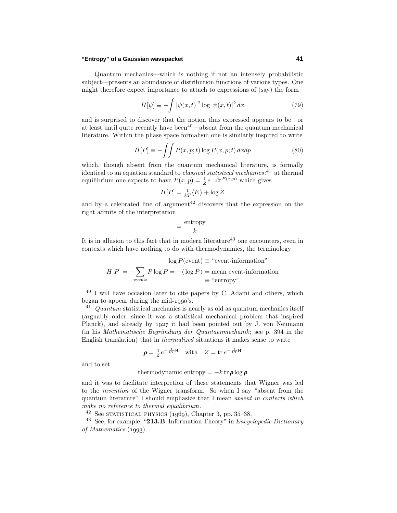## **"Entropy" of a Gaussian wavepacket 41**

Quantum mechanics—which is nothing if not an intensely probabilistic subject—presents an abundance of distribution functions of various types. One might therefore expect importance to attach to expressions of (say) the form

$$
H[\psi] \equiv -\int |\psi(x,t)|^2 \log |\psi(x,t)|^2 dx \tag{79}
$$

and is surprised to discover that the notion thus expressed appears to be—or at least until quite recently have been<sup>40—</sup>absent from the quantum mechanical literature. Within the phase space formalism one is similarly inspired to write

$$
H[P] \equiv -\int\int P(x, p; t) \log P(x, p; t) dx dp \tag{80}
$$

which, though absent from the quantum mechanical literature, is formally identical to an equation standard to *classical statistical mechanics*:<sup>41</sup> at thermal equilibrium one expects to have  $P(x, p) = \frac{1}{Z}e^{-\frac{1}{kT}E(x, p)}$  which gives

$$
H[P] = \frac{1}{kT} \langle E \rangle + \log Z
$$

and by a celebrated line of argument<sup>42</sup> discovers that the expression on the right admits of the interpretation

$$
= \frac{\text{entropy}}{k}
$$

It is in allusion to this fact that in modern literature<sup>43</sup> one encounters, even in contexts which have nothing to do with thermodynamics, the terminology

$$
- \log P(\text{event}) \equiv \text{``event-information''}
$$

$$
H[P] = -\sum_{\text{events}} P \log P = -\langle \log P \rangle = \text{mean event-information} = \text{``entropy''}
$$

 $40$  I will have occasion later to cite papers by C. Adami and others, which began to appear during the mid- $1990$ 's.

 $41$  Quantum statistical mechanics is nearly as old as quantum mechanics itself (arguably older, since it was a statistical mechanical problem that inspired Planck), and already by 1927 it had been pointed out by J. von Neumann (in his Mathematische Begründung der Quantaenmechanik; see p. 394 in the English translation) that in thermalized situations it makes sense to write

$$
\rho = \frac{1}{Z}e^{-\frac{1}{kT}\mathsf{H}} \quad \text{with} \quad Z = \text{tr } e^{-\frac{1}{kT}\mathsf{H}}
$$

and to set

## thermodynamic entropy =  $-k \operatorname{tr} \rho \log \rho$

and it was to facilitate interpretion of these statements that Wigner was led to the invention of the Wigner transform. So when I say "absent from the quantum literature" I should emphasize that I mean absent in contexts which make no reference to thermal equalibrium.

 $42$  See STATISTICAL PHYSICS (1969), Chapter 3, pp. 35–38.

<sup>43</sup> See, for example, "**213.B**, Information Theory" in Encyclopedic Dictionary of Mathematics  $(1993)$ .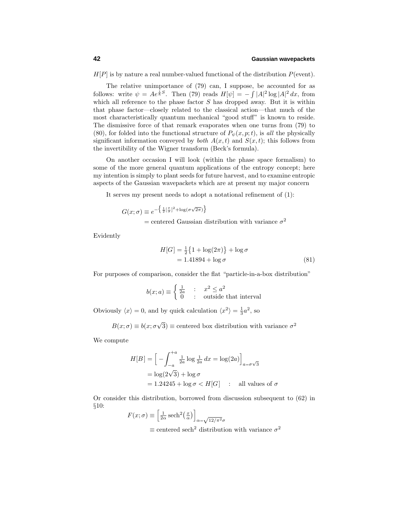$H[P]$  is by nature a real number-valued functional of the distribution  $P(\text{event})$ .

The relative unimportance of  $(79)$  can, I suppose, be accounted for as follows: write  $\psi = Ae^{\frac{i}{\hbar}S}$ . Then (79) reads  $H[\psi] = -\int |A|^2 \log |A|^2 dx$ , from which all reference to the phase factor *S* has dropped away. But it is within that phase factor—closely related to the classical action—that much of the most characteristically quantum mechanical "good stuff" is known to reside. The dismissive force of that remark evaporates when one turns from (79) to (80), for folded into the functional structure of  $P_{\psi}(x, p; t)$ , is all the physically significant information conveyed by *both*  $A(x,t)$  and  $S(x,t)$ ; this follows from the invertibility of the Wigner transform (Beck's formula).

On another occasion I will look (within the phase space formalism) to some of the more general quantum applications of the entropy concept; here my intention is simply to plant seeds for future harvest, and to examine entropic aspects of the Gaussian wavepackets which are at present my major concern

It serves my present needs to adopt a notational refinement of  $(1)$ :

$$
G(x; \sigma) \equiv e^{-\left{\frac{1}{2} \left[\frac{x}{\sigma}\right]^2 + \log\left(\sigma\sqrt{2\pi}\right)\right\}}
$$

 $=$  centered Gaussian distribution with variance  $\sigma^2$ 

Evidently

$$
H[G] = \frac{1}{2} \{ 1 + \log(2\pi) \} + \log \sigma
$$
  
= 1.41894 + log \sigma (81)

For purposes of comparison, consider the flat "particle-in-a-box distribution"

$$
b(x;a) \equiv \begin{cases} \frac{1}{2a} & \text{: } x^2 \le a^2\\ 0 & \text{: } \text{ outside that interval} \end{cases}
$$

Obviously  $\langle x \rangle = 0$ , and by quick calculation  $\langle x^2 \rangle = \frac{1}{3}a^2$ , so

$$
B(x; \sigma) \equiv b(x; \sigma \sqrt{3}) \equiv
$$
 centered box distribution with variance  $\sigma^2$ 

We compute

$$
H[B] = \left[ -\int_{-a}^{+a} \frac{1}{2a} \log \frac{1}{2a} dx = \log(2a) \right]_{a=\sigma\sqrt{3}}
$$

$$
= \log(2\sqrt{3}) + \log \sigma
$$

$$
= 1.24245 + \log \sigma < H[G] \quad : \text{ all values of } \sigma
$$

Or consider this distribution, borrowed from discussion subsequent to (62) in §10:

$$
F(x; \sigma) \equiv \left[\frac{1}{2\alpha} \operatorname{sech}^2\left(\frac{x}{\alpha}\right)\right]_{\alpha = \sqrt{12/\pi^2}\sigma}
$$
  
 
$$
\equiv \operatorname{centered} \operatorname{sech}^2 \operatorname{distribution} \operatorname{with} \operatorname{variance} \sigma^2
$$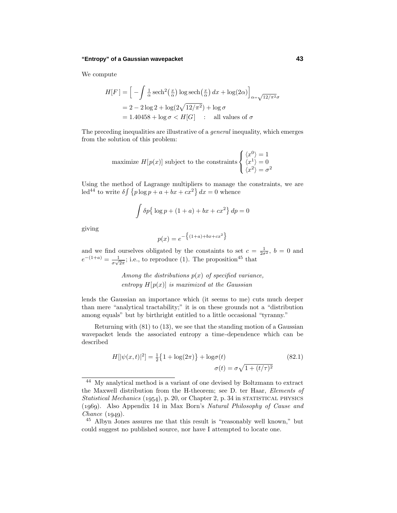## **"Entropy" of a Gaussian wavepacket 43**

We compute

$$
H[F] = \left[ -\int \frac{1}{\alpha} \operatorname{sech}^{2}(\frac{x}{\alpha}) \log \operatorname{sech}(\frac{x}{\alpha}) dx + \log(2\alpha) \right]_{\alpha = \sqrt{12/\pi^{2}}\sigma}
$$

$$
= 2 - 2\log 2 + \log(2\sqrt{12/\pi^{2}}) + \log \sigma
$$

$$
= 1.40458 + \log \sigma < H[G] \qquad \text{: all values of } \sigma
$$

The preceding inequalities are illustrative of a *general* inequality, which emerges from the solution of this problem:

maximize 
$$
H[p(x)]
$$
 subject to the constraints 
$$
\begin{cases} \langle x^0 \rangle = 1\\ \langle x^1 \rangle = 0\\ \langle x^2 \rangle = \sigma^2 \end{cases}
$$

Using the method of Lagrange multipliers to manage the constraints, we are led<sup>44</sup> to write  $\delta \int \{p \log p + a + bx + cx^2\} dx = 0$  whence

$$
\int \delta p \{ \log p + (1+a) + bx + cx^2 \} dp = 0
$$

giving

$$
p(x) = e^{-\{(1+a)+bx+cx^2\}}
$$

and we find ourselves obligated by the constaints to set  $c = \frac{1}{2\sigma^2}$ ,  $b = 0$  and  $e^{-(1+a)} = \frac{1}{\sigma\sqrt{2\pi}}$ ; i.e., to reproduce (1). The proposition<sup>45</sup> that

> Among the distributions  $p(x)$  of specified variance, entropy  $H[p(x)]$  is maximized at the Gaussian

lends the Gaussian an importance which (it seems to me) cuts much deeper than mere "analytical tractability;" it is on these grounds not a "distribution among equals" but by birthright entitled to a little occasional "tyranny."

Returning with  $(81)$  to  $(13)$ , we see that the standing motion of a Gaussian wavepacket lends the associated entropy a time-dependence which can be described

$$
H[|\psi(x,t)|^2] = \frac{1}{2} \{ 1 + \log(2\pi) \} + \log \sigma(t)
$$
\n
$$
\sigma(t) = \sigma \sqrt{1 + (t/\tau)^2}
$$
\n(82.1)

<sup>&</sup>lt;sup>44</sup> My analytical method is a variant of one devised by Boltzmann to extract the Maxwell distribution from the H-theorem; see D. ter Haar, Elements of Statistical Mechanics  $(1954)$ , p. 20, or Chapter 2, p. 34 in STATISTICAL PHYSICS (). Also Appendix 14 in Max Born's Natural Philosophy of Cause and Chance  $(1949)$ .

<sup>&</sup>lt;sup>45</sup> Albyn Jones assures me that this result is "reasonably well known," but could suggest no published source, nor have I attempted to locate one.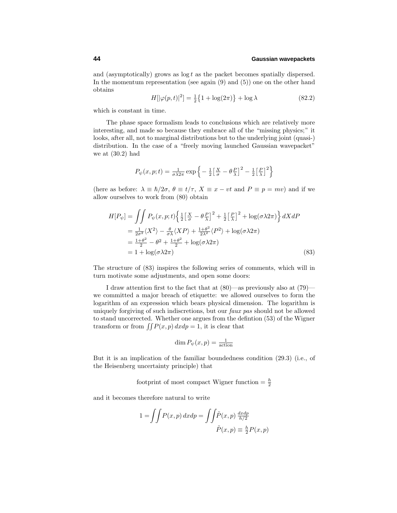and (asymptotically) grows as log *t* as the packet becomes spatially dispersed. In the momentum representation (see again  $(9)$  and  $(5)$ ) one on the other hand obtains

$$
H[|\varphi(p,t)|^2] = \frac{1}{2} \{ 1 + \log(2\pi) \} + \log \lambda \tag{82.2}
$$

which is constant in time.

The phase space formalism leads to conclusions which are relatively more interesting, and made so because they embrace all of the "missing physics;" it looks, after all, not to marginal distributions but to the underlying joint (quasi-) distribution. In the case of a "freely moving launched Gaussian wavepacket" we at (30.2) had

$$
P_{\psi}(x, p; t) = \frac{1}{\sigma \lambda 2\pi} \exp \left\{-\frac{1}{2} \left[\frac{X}{\sigma} - \theta \frac{P}{\lambda}\right]^2 - \frac{1}{2} \left[\frac{P}{\lambda}\right]^2\right\}
$$

(here as before:  $\lambda \equiv \hbar/2\sigma$ ,  $\theta \equiv t/\tau$ ,  $X \equiv x - vt$  and  $P \equiv p = mv$ ) and if we allow ourselves to work from (80) obtain

$$
H[P_{\psi}] = \iint P_{\psi}(x, p; t) \left\{ \frac{1}{2} \left[ \frac{X}{\sigma} - \theta \frac{P}{\lambda} \right]^2 + \frac{1}{2} \left[ \frac{P}{\lambda} \right]^2 + \log(\sigma \lambda 2\pi) \right\} dX dP
$$
  
\n
$$
= \frac{1}{2\sigma^2} \langle X^2 \rangle - \frac{\theta}{\sigma \lambda} \langle XP \rangle + \frac{1 + \theta^2}{2\lambda^2} \langle P^2 \rangle + \log(\sigma \lambda 2\pi)
$$
  
\n
$$
= \frac{1 + \theta^2}{2} - \theta^2 + \frac{1 + \theta^2}{2} + \log(\sigma \lambda 2\pi)
$$
  
\n
$$
= 1 + \log(\sigma \lambda 2\pi)
$$
 (83)

The structure of (83) inspires the following series of comments, which will in turn motivate some adjustments, and open some doors:

I draw attention first to the fact that at (80)—as previously also at (79) we committed a major breach of etiquette: we allowed ourselves to form the logarithm of an expression which bears physical dimension. The logarithm is uniquely forgiving of such indiscretions, but our *faux pas* should not be allowed to stand uncorrected. Whether one argues from the defintion (53) of the Wigner transform or from  $\iint P(x, p) dx dp = 1$ , it is clear that

$$
\dim P_{\psi}(x, p) = \frac{1}{\text{action}}
$$

But it is an implication of the familiar boundedness condition  $(29.3)$  (i.e., of the Heisenberg uncertainty principle) that

footprint of most compact Wigner function  $=$   $\frac{h}{2}$ 

and it becomes therefore natural to write

$$
1 = \iint P(x, p) dx dp = \iint \tilde{P}(x, p) \frac{dx dp}{h/2}
$$

$$
\tilde{P}(x, p) \equiv \frac{h}{2} P(x, p)
$$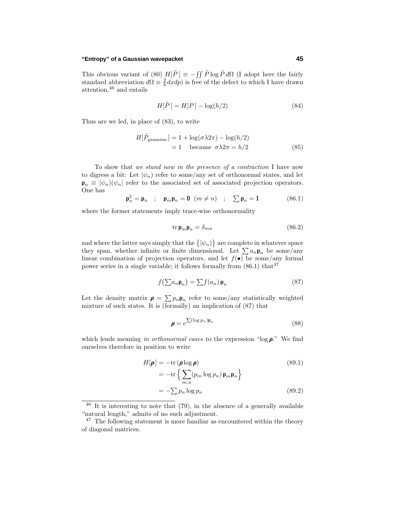## **"Entropy" of a Gaussian wavepacket 45**

This obvious variant of (80)  $H[\tilde{P}] \equiv -\iint \tilde{P} \log \tilde{P} d\Omega$  (I adopt here the fairly standard abbreviation  $d\Omega = \frac{2}{h} dx dp$  is free of the defect to which I have drawn attention,<sup>46</sup> and entails

$$
H[\tilde{P}] = H[P] - \log(h/2)
$$
\n(84)

Thus are we led, in place of  $(83)$ , to write

$$
H[\tilde{P}_{\text{gaussian}}] = 1 + \log(\sigma \lambda 2\pi) - \log(h/2)
$$
  
= 1 because  $\sigma \lambda 2\pi = h/2$  (85)

To show that we stand now in the presence of a contraction I have now to digress a bit: Let  $|\psi_n\rangle$  refer to some/any set of orthonormal states, and let  $\mathbf{p}_n \equiv |\psi_n\rangle(\psi_n)$  refer to the associated set of associated projection operators. One has

$$
\mathbf{p}_n^2 = \mathbf{p}_n \quad ; \quad \mathbf{p}_m \mathbf{p}_n = \mathbf{0} \quad (m \neq n) \quad ; \quad \sum \mathbf{p}_n = 1 \tag{86.1}
$$

where the former statements imply trace-wise orthonormality

$$
\operatorname{tr} \mathbf{p}_m \mathbf{p}_n = \delta_{mn} \tag{86.2}
$$

and where the latter says simply that the  $\{|\psi_n\rangle\}$  are complete in whatever space they span, whether infinite or finite dimensional. Let  $\sum a_n \mathbf{p}_n$  be some/any linear combination of projection operators, and let  $f(\bullet)$  be some/any formal power series in a single variable; it follows formally from  $(86.1)$  that<sup>47</sup>

$$
f\left(\sum a_n \mathbf{p}_n\right) = \sum f(a_n) \mathbf{p}_n \tag{87}
$$

Let the density matrix  $\rho = \sum p_n \rho_n$  refer to some/any statistically weighted mixture of such states. It is (formally) an implication of  $(87)$  that

$$
\boldsymbol{\rho} = e^{\sum (\log p_n)\mathbf{p}_n} \tag{88}
$$

which lends meaning in orthonormal cases to the expression "log *ρ*." We find ourselves therefore in position to write

$$
H[\boldsymbol{\rho}] = -\text{tr}(\boldsymbol{\rho}\log\boldsymbol{\rho})\tag{89.1}
$$

$$
= -\text{tr}\left\{\sum_{m,n} (p_m \log p_n) \mathbf{p}_m \mathbf{p}_n\right\}
$$

$$
= -\sum p_n \log p_n \qquad (89.2)
$$

 $46$  It is interesting to note that (79), in the absence of a generally available "natural length," admits of no such adjustment.

 $47$  The following statement is more familiar as encountered within the theory of diagonal matrices.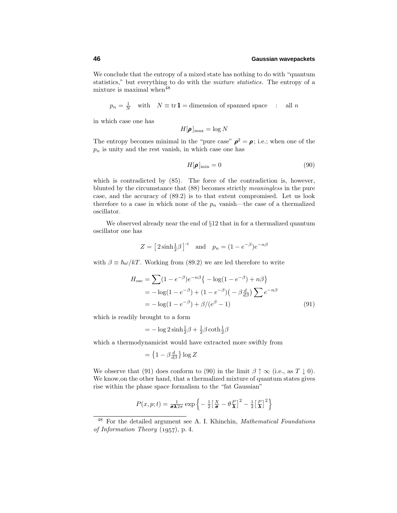We conclude that the entropy of a mixed state has nothing to do with "quantum" statistics," but everything to do with the *mixture statistics*. The entropy of a mixture is maximal when  $48$ 

$$
p_n = \frac{1}{N}
$$
 with  $N \equiv \text{tr}\, \mathbf{1} = \text{dimension of spanned space}$ : all *n*

in which case one has

$$
H[\pmb{\rho}]_{\rm max} = \log N
$$

The entropy becomes minimal in the "pure case"  $\rho^2 = \rho$ ; i.e.; when one of the *p<sup>n</sup>* is unity and the rest vanish, in which case one has

$$
H[\pmb{\rho}]_{\text{min}} = 0 \tag{90}
$$

which is contradicted by  $(85)$ . The force of the contradiction is, however, blunted by the circumstance that (88) becomes strictly meaningless in the pure case, and the accuracy of  $(89.2)$  is to that extent compromised. Let us look therefore to a case in which none of the  $p_n$  vanish—the case of a thermalized oscillator.

We observed already near the end of  $\S12$  that in for a thermalized quantum oscillator one has

$$
Z = \left[2\sinh\frac{1}{2}\beta\right]^{-1} \quad \text{and} \quad p_n = \left(1 - e^{-\beta}\right)e^{-n\beta}
$$

with  $\beta \equiv \hbar \omega / kT$ . Working from (89.2) we are led therefore to write

$$
H_{\text{osc}} = \sum (1 - e^{-\beta})e^{-n\beta} \{-\log(1 - e^{-\beta}) + n\beta\}
$$
  
=  $-\log(1 - e^{-\beta}) + (1 - e^{-\beta})(-\beta \frac{d}{d\beta}) \sum e^{-n\beta}$   
=  $-\log(1 - e^{-\beta}) + \beta/(e^{\beta} - 1)$  (91)

which is readily brought to a form

$$
= -\log 2 \sinh \frac{1}{2}\beta + \frac{1}{2}\beta \coth \frac{1}{2}\beta
$$

which a thermodynamicist would have extracted more swiftly from

$$
= \left\{1 - \beta \frac{d}{d\beta}\right\} \log Z
$$

We observe that (91) does conform to (90) in the limit  $\beta \uparrow \infty$  (i.e., as  $T \downarrow 0$ ). We know, on the other hand, that a thermalized mixture of quantum states gives rise within the phase space formalism to the "fat Gaussian"

$$
P(x, p; t) = \frac{1}{\sigma \lambda 2\pi} \exp \left\{-\frac{1}{2} \left[\frac{X}{\sigma} - \theta \frac{P}{\lambda}\right]^2 - \frac{1}{2} \left[\frac{P}{\lambda}\right]^2\right\}
$$

<sup>&</sup>lt;sup>48</sup> For the detailed argument see A. I. Khinchin, *Mathematical Foundations* of Information Theory  $(1957)$ , p. 4.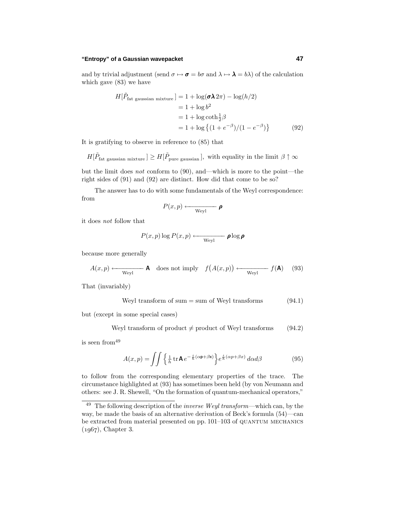## **"Entropy" of a Gaussian wavepacket 47**

and by trivial adjustment (send  $\sigma \mapsto \sigma = b\sigma$  and  $\lambda \mapsto \lambda = b\lambda$ ) of the calculation which gave (83) we have

$$
H[\tilde{P}_{\text{fat gaussian mixture}}] = 1 + \log(\sigma \lambda 2\pi) - \log(h/2)
$$
  
= 1 + log b<sup>2</sup>  
= 1 + log coth<sup>1</sup>/<sub>2</sub>β  
= 1 + log {(1 + e<sup>- $\beta$</sup> )/(1 - e<sup>- $\beta$</sup> )} (92)

It is gratifying to observe in reference to (85) that

$$
H[\tilde{P}_{\text{fat gaussian mixture}}] \geq H[\tilde{P}_{\text{pure gaussian}}], \text{ with equality in the limit } \beta \uparrow \infty
$$

but the limit does not conform to (90), and—which is more to the point—the right sides of  $(91)$  and  $(92)$  are distinct. How did that come to be so?

The answer has to do with some fundamentals of the Weyl correspondence: from

$$
P(x,p) \longleftarrow_{\text{Weyl}} \textcolor{red}{\boldsymbol{\rho}}
$$

it does not follow that

$$
P(x,p) \log P(x,p) \longleftarrow \text{Weyl} \quad \rho \log \rho
$$

because more generally

$$
A(x,p) \longleftarrow \text{Weyl} \qquad \mathbf{A} \quad \text{does not imply} \quad f(A(x,p)) \longleftarrow \text{Weyl} \qquad f(\mathbf{A}) \tag{93}
$$

That (invariably)

Weyl transform of sum = sum of Weyl transforms 
$$
(94.1)
$$

but (except in some special cases)

Weyl transform of product 
$$
\neq
$$
 product of Weyl transforms (94.2)

is seen from<sup>49</sup>

$$
A(x,p) = \iint \left\{ \frac{1}{h} \operatorname{tr} \mathbf{A} e^{-\frac{i}{h}(\alpha \mathbf{p} + \beta \mathbf{x})} \right\} e^{\frac{i}{h}(\alpha p + \beta x)} d\alpha d\beta \tag{95}
$$

to follow from the corresponding elementary properties of the trace. The circumstance highlighted at (93) has sometimes been held (by von Neumann and others: see J. R. Shewell, "On the formation of quantum-mechanical operators,"

 $^{49}$  The following description of the *inverse Weyl transform*—which can, by the way, be made the basis of an alternative derivation of Beck's formula  $(54)$ —can be extracted from material presented on pp. 101–103 of QUANTUM MECHANICS  $(1967)$ , Chapter 3.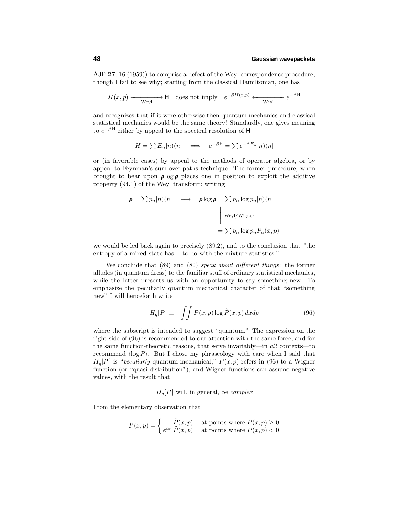AJP **27**, 16 (1959)) to comprise a defect of the Weyl correspondence procedure, though I fail to see why; starting from the classical Hamiltonian, one has

$$
H(x,p) \xrightarrow{\text{Weyl}} \mathsf{H} \quad \text{does not imply} \quad e^{-\beta H(x,p)} \xleftarrow{\text{Weyl}} e^{-\beta \mathsf{H}}
$$

and recognizes that if it were otherwise then quantum mechanics and classical statistical mechanics would be the same theory! Standardly, one gives meaning to  $e^{-\beta H}$  either by appeal to the spectral resolution of **H** 

$$
H = \sum E_n |n\rangle(n| \quad \Longrightarrow \quad e^{-\beta \mathbf{H}} = \sum e^{-\beta E_n} |n\rangle(n|
$$

or (in favorable cases) by appeal to the methods of operator algebra, or by appeal to Feynman's sum-over-paths technique. The former procedure, when brought to bear upon  $\rho \log \rho$  places one in position to exploit the additive property  $(94.1)$  of the Weyl transform; writing

$$
\rho = \sum p_n |n\rangle(n| \longrightarrow \rho \log \rho = \sum p_n \log p_n |n\rangle(n|
$$
  
\n
$$
\downarrow \text{Weyl/Wigner}
$$
  
\n
$$
= \sum p_n \log p_n P_n(x, p)
$$

we would be led back again to precisely (89.2), and to the conclusion that "the entropy of a mixed state has...to do with the mixture statistics."

We conclude that (89) and (80) speak about different things: the former alludes (in quantum dress) to the familiar stuff of ordinary statistical mechanics, while the latter presents us with an opportunity to say something new. To emphasize the peculiarly quantum mechanical character of that "something new" I will henceforth write

$$
H_q[P] \equiv -\int \int P(x, p) \log \tilde{P}(x, p) \, dx \, dp \tag{96}
$$

where the subscript is intended to suggest "quantum." The expression on the right side of (96) is recommended to our attention with the same force, and for the same function-theoretic reasons, that serve invariably—in all contexts—to recommend  $\langle \log P \rangle$ . But I chose my phraseology with care when I said that  $H_q[P]$  is "*peculiarly* quantum mechanical;"  $P(x, p)$  refers in (96) to a Wigner function (or "quasi-distribution"), and Wigner functions can assume negative values, with the result that

# $H_q[P]$  will, in general, be *complex*

From the elementary observation that

$$
\tilde{P}(x,p) = \begin{cases} |\tilde{P}(x,p)| & \text{at points where } P(x,p) \ge 0\\ e^{i\pi}|\tilde{P}(x,p)| & \text{at points where } P(x,p) < 0 \end{cases}
$$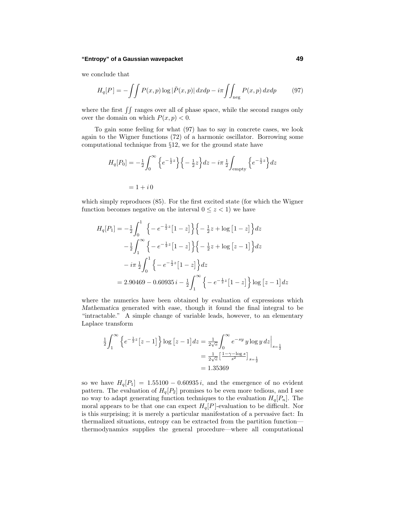## **"Entropy" of a Gaussian wavepacket 49**

we conclude that

$$
H_q[P] = -\int\int P(x, p) \log|\tilde{P}(x, p)| \, dx dp - i\pi \int\int_{\text{neg}} P(x, p) \, dx dp \tag{97}
$$

where the first  $\iint$  ranges over all of phase space, while the second ranges only over the domain on which  $P(x, p) < 0$ .

To gain some feeling for what (97) has to say in concrete cases, we look again to the Wigner functions (72) of a harmonic oscillator. Borrowing some computational technique from §12, we for the ground state have

$$
H_q[P_0] = -\frac{1}{2} \int_0^\infty \left\{ e^{-\frac{1}{2}z} \right\} \left\{ -\frac{1}{2}z \right\} dz - i\pi \frac{1}{2} \int_{\text{empty}} \left\{ e^{-\frac{1}{2}z} \right\} dz
$$
  
= 1 + i 0

which simply reproduces (85). For the first excited state (for which the Wigner function becomes negative on the interval  $0 \leq z < 1$ ) we have

$$
H_q[P_1] = -\frac{1}{2} \int_0^1 \left\{ -e^{-\frac{1}{2}z} \left[ 1-z \right] \right\} \left\{ -\frac{1}{2}z + \log \left[ 1-z \right] \right\} dz
$$
  

$$
-\frac{1}{2} \int_1^\infty \left\{ -e^{-\frac{1}{2}z} \left[ 1-z \right] \right\} \left\{ -\frac{1}{2}z + \log \left[ z-1 \right] \right\} dz
$$
  

$$
-i\pi \frac{1}{2} \int_0^1 \left\{ -e^{-\frac{1}{2}z} \left[ 1-z \right] \right\} dz
$$
  

$$
= 2.90469 - 0.60935 i - \frac{1}{2} \int_1^\infty \left\{ -e^{-\frac{1}{2}z} \left[ 1-z \right] \right\} \log \left[ z-1 \right] dz
$$

where the numerics have been obtained by evaluation of expressions which *Mathematica* generated with ease, though it found the final integral to be "intractable." A simple change of variable leads, however, to an elementary Laplace transform

$$
\frac{1}{2} \int_{1}^{\infty} \left\{ e^{-\frac{1}{2}z} \left[ z - 1 \right] \right\} \log \left[ z - 1 \right] dz = \frac{1}{2\sqrt{e}} \int_{0}^{\infty} e^{-sy} y \log y \, dz \Big|_{s = \frac{1}{2}}
$$

$$
= \frac{1}{2\sqrt{e}} \left[ \frac{1 - \gamma - \log s}{s^2} \right]_{s = \frac{1}{2}}
$$

$$
= 1.35369
$$

so we have  $H_q[P_1]=1.55100 - 0.60935 i$ , and the emergence of no evident pattern. The evaluation of  $H_q[P_2]$  promises to be even more tedious, and I see no way to adapt generating function techniques to the evaluation  $H_q[P_n]$ . The moral appears to be that one can expect  $H_q[P]$ -evaluation to be difficult. Nor is this surprising; it is merely a particular manifestation of a pervasive fact: In thermalized situations, entropy can be extracted from the partition function thermodynamics supplies the general procedure—where all computational